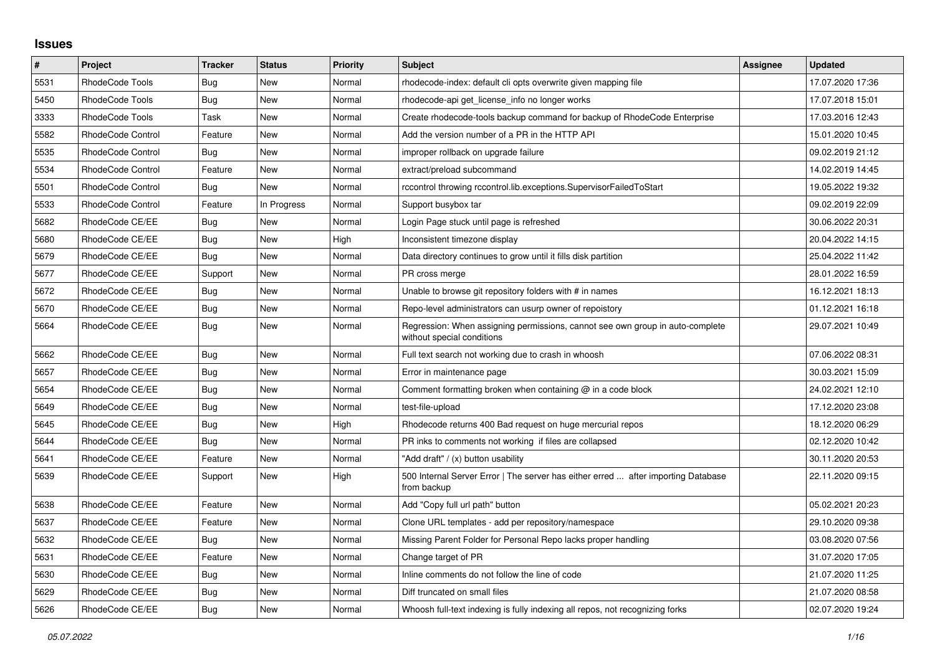## **Issues**

| $\sharp$ | <b>Project</b>    | Tracker    | <b>Status</b> | <b>Priority</b> | <b>Subject</b>                                                                                              | Assignee | <b>Updated</b>   |
|----------|-------------------|------------|---------------|-----------------|-------------------------------------------------------------------------------------------------------------|----------|------------------|
| 5531     | RhodeCode Tools   | Bug        | <b>New</b>    | Normal          | rhodecode-index: default cli opts overwrite given mapping file                                              |          | 17.07.2020 17:36 |
| 5450     | RhodeCode Tools   | Bug        | New           | Normal          | rhodecode-api get license info no longer works                                                              |          | 17.07.2018 15:01 |
| 3333     | RhodeCode Tools   | Task       | <b>New</b>    | Normal          | Create rhodecode-tools backup command for backup of RhodeCode Enterprise                                    |          | 17.03.2016 12:43 |
| 5582     | RhodeCode Control | Feature    | New           | Normal          | Add the version number of a PR in the HTTP API                                                              |          | 15.01.2020 10:45 |
| 5535     | RhodeCode Control | Bug        | New           | Normal          | improper rollback on upgrade failure                                                                        |          | 09.02.2019 21:12 |
| 5534     | RhodeCode Control | Feature    | New           | Normal          | extract/preload subcommand                                                                                  |          | 14.02.2019 14:45 |
| 5501     | RhodeCode Control | Bug        | <b>New</b>    | Normal          | rccontrol throwing rccontrol.lib.exceptions.SupervisorFailedToStart                                         |          | 19.05.2022 19:32 |
| 5533     | RhodeCode Control | Feature    | In Progress   | Normal          | Support busybox tar                                                                                         |          | 09.02.2019 22:09 |
| 5682     | RhodeCode CE/EE   | Bug        | New           | Normal          | Login Page stuck until page is refreshed                                                                    |          | 30.06.2022 20:31 |
| 5680     | RhodeCode CE/EE   | Bug        | New           | High            | Inconsistent timezone display                                                                               |          | 20.04.2022 14:15 |
| 5679     | RhodeCode CE/EE   | Bug        | New           | Normal          | Data directory continues to grow until it fills disk partition                                              |          | 25.04.2022 11:42 |
| 5677     | RhodeCode CE/EE   | Support    | New           | Normal          | PR cross merge                                                                                              |          | 28.01.2022 16:59 |
| 5672     | RhodeCode CE/EE   | Bug        | New           | Normal          | Unable to browse git repository folders with # in names                                                     |          | 16.12.2021 18:13 |
| 5670     | RhodeCode CE/EE   | Bug        | New           | Normal          | Repo-level administrators can usurp owner of repoistory                                                     |          | 01.12.2021 16:18 |
| 5664     | RhodeCode CE/EE   | <b>Bug</b> | New           | Normal          | Regression: When assigning permissions, cannot see own group in auto-complete<br>without special conditions |          | 29.07.2021 10:49 |
| 5662     | RhodeCode CE/EE   | <b>Bug</b> | <b>New</b>    | Normal          | Full text search not working due to crash in whoosh                                                         |          | 07.06.2022 08:31 |
| 5657     | RhodeCode CE/EE   | Bug        | New           | Normal          | Error in maintenance page                                                                                   |          | 30.03.2021 15:09 |
| 5654     | RhodeCode CE/EE   | Bug        | <b>New</b>    | Normal          | Comment formatting broken when containing $@$ in a code block                                               |          | 24.02.2021 12:10 |
| 5649     | RhodeCode CE/EE   | <b>Bug</b> | <b>New</b>    | Normal          | test-file-upload                                                                                            |          | 17.12.2020 23:08 |
| 5645     | RhodeCode CE/EE   | Bug        | New           | High            | Rhodecode returns 400 Bad request on huge mercurial repos                                                   |          | 18.12.2020 06:29 |
| 5644     | RhodeCode CE/EE   | <b>Bug</b> | New           | Normal          | PR inks to comments not working if files are collapsed                                                      |          | 02.12.2020 10:42 |
| 5641     | RhodeCode CE/EE   | Feature    | <b>New</b>    | Normal          | "Add draft" / (x) button usability                                                                          |          | 30.11.2020 20:53 |
| 5639     | RhodeCode CE/EE   | Support    | New           | High            | 500 Internal Server Error   The server has either erred  after importing Database<br>from backup            |          | 22.11.2020 09:15 |
| 5638     | RhodeCode CE/EE   | Feature    | New           | Normal          | Add "Copy full url path" button                                                                             |          | 05.02.2021 20:23 |
| 5637     | RhodeCode CE/EE   | Feature    | <b>New</b>    | Normal          | Clone URL templates - add per repository/namespace                                                          |          | 29.10.2020 09:38 |
| 5632     | RhodeCode CE/EE   | Bug        | New           | Normal          | Missing Parent Folder for Personal Repo lacks proper handling                                               |          | 03.08.2020 07:56 |
| 5631     | RhodeCode CE/EE   | Feature    | New           | Normal          | Change target of PR                                                                                         |          | 31.07.2020 17:05 |
| 5630     | RhodeCode CE/EE   | Bug        | New           | Normal          | Inline comments do not follow the line of code                                                              |          | 21.07.2020 11:25 |
| 5629     | RhodeCode CE/EE   | Bug        | New           | Normal          | Diff truncated on small files                                                                               |          | 21.07.2020 08:58 |
| 5626     | RhodeCode CE/EE   | Bug        | New           | Normal          | Whoosh full-text indexing is fully indexing all repos, not recognizing forks                                |          | 02.07.2020 19:24 |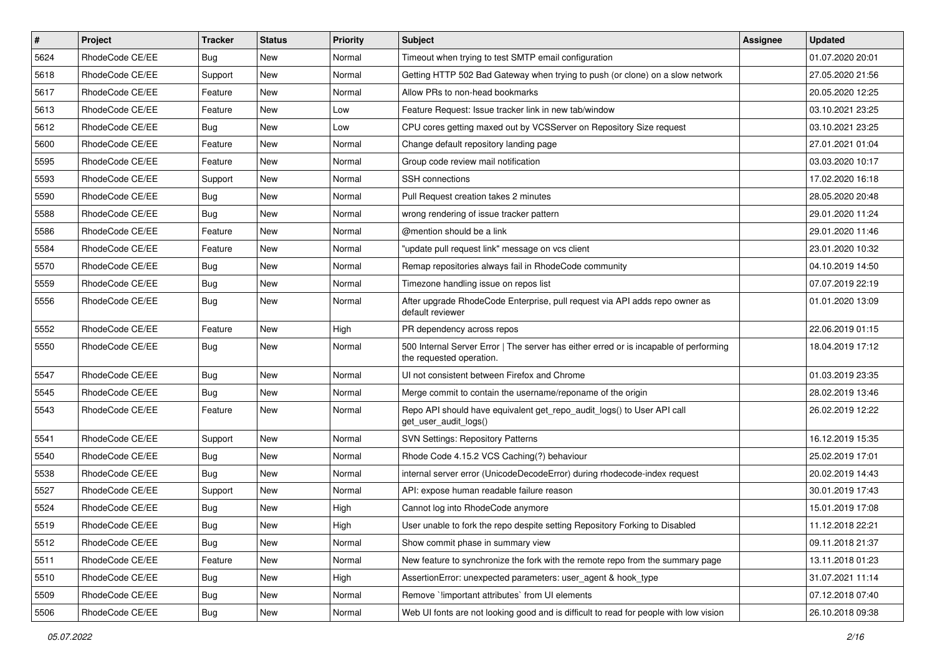| $\sharp$ | Project         | <b>Tracker</b> | <b>Status</b> | <b>Priority</b> | <b>Subject</b>                                                                                                    | <b>Assignee</b> | <b>Updated</b>   |
|----------|-----------------|----------------|---------------|-----------------|-------------------------------------------------------------------------------------------------------------------|-----------------|------------------|
| 5624     | RhodeCode CE/EE | Bug            | New           | Normal          | Timeout when trying to test SMTP email configuration                                                              |                 | 01.07.2020 20:01 |
| 5618     | RhodeCode CE/EE | Support        | New           | Normal          | Getting HTTP 502 Bad Gateway when trying to push (or clone) on a slow network                                     |                 | 27.05.2020 21:56 |
| 5617     | RhodeCode CE/EE | Feature        | New           | Normal          | Allow PRs to non-head bookmarks                                                                                   |                 | 20.05.2020 12:25 |
| 5613     | RhodeCode CE/EE | Feature        | New           | Low             | Feature Request: Issue tracker link in new tab/window                                                             |                 | 03.10.2021 23:25 |
| 5612     | RhodeCode CE/EE | Bug            | <b>New</b>    | Low             | CPU cores getting maxed out by VCSServer on Repository Size request                                               |                 | 03.10.2021 23:25 |
| 5600     | RhodeCode CE/EE | Feature        | New           | Normal          | Change default repository landing page                                                                            |                 | 27.01.2021 01:04 |
| 5595     | RhodeCode CE/EE | Feature        | New           | Normal          | Group code review mail notification                                                                               |                 | 03.03.2020 10:17 |
| 5593     | RhodeCode CE/EE | Support        | New           | Normal          | SSH connections                                                                                                   |                 | 17.02.2020 16:18 |
| 5590     | RhodeCode CE/EE | Bug            | New           | Normal          | Pull Request creation takes 2 minutes                                                                             |                 | 28.05.2020 20:48 |
| 5588     | RhodeCode CE/EE | Bug            | New           | Normal          | wrong rendering of issue tracker pattern                                                                          |                 | 29.01.2020 11:24 |
| 5586     | RhodeCode CE/EE | Feature        | New           | Normal          | @mention should be a link                                                                                         |                 | 29.01.2020 11:46 |
| 5584     | RhodeCode CE/EE | Feature        | New           | Normal          | "update pull request link" message on vcs client                                                                  |                 | 23.01.2020 10:32 |
| 5570     | RhodeCode CE/EE | Bug            | New           | Normal          | Remap repositories always fail in RhodeCode community                                                             |                 | 04.10.2019 14:50 |
| 5559     | RhodeCode CE/EE | Bug            | New           | Normal          | Timezone handling issue on repos list                                                                             |                 | 07.07.2019 22:19 |
| 5556     | RhodeCode CE/EE | Bug            | New           | Normal          | After upgrade RhodeCode Enterprise, pull request via API adds repo owner as<br>default reviewer                   |                 | 01.01.2020 13:09 |
| 5552     | RhodeCode CE/EE | Feature        | <b>New</b>    | High            | PR dependency across repos                                                                                        |                 | 22.06.2019 01:15 |
| 5550     | RhodeCode CE/EE | Bug            | <b>New</b>    | Normal          | 500 Internal Server Error   The server has either erred or is incapable of performing<br>the requested operation. |                 | 18.04.2019 17:12 |
| 5547     | RhodeCode CE/EE | Bug            | New           | Normal          | UI not consistent between Firefox and Chrome                                                                      |                 | 01.03.2019 23:35 |
| 5545     | RhodeCode CE/EE | Bug            | <b>New</b>    | Normal          | Merge commit to contain the username/reponame of the origin                                                       |                 | 28.02.2019 13:46 |
| 5543     | RhodeCode CE/EE | Feature        | New           | Normal          | Repo API should have equivalent get_repo_audit_logs() to User API call<br>get_user_audit_logs()                   |                 | 26.02.2019 12:22 |
| 5541     | RhodeCode CE/EE | Support        | New           | Normal          | <b>SVN Settings: Repository Patterns</b>                                                                          |                 | 16.12.2019 15:35 |
| 5540     | RhodeCode CE/EE | <b>Bug</b>     | New           | Normal          | Rhode Code 4.15.2 VCS Caching(?) behaviour                                                                        |                 | 25.02.2019 17:01 |
| 5538     | RhodeCode CE/EE | Bug            | <b>New</b>    | Normal          | internal server error (UnicodeDecodeError) during rhodecode-index request                                         |                 | 20.02.2019 14:43 |
| 5527     | RhodeCode CE/EE | Support        | New           | Normal          | API: expose human readable failure reason                                                                         |                 | 30.01.2019 17:43 |
| 5524     | RhodeCode CE/EE | <b>Bug</b>     | New           | High            | Cannot log into RhodeCode anymore                                                                                 |                 | 15.01.2019 17:08 |
| 5519     | RhodeCode CE/EE | Bug            | New           | High            | User unable to fork the repo despite setting Repository Forking to Disabled                                       |                 | 11.12.2018 22:21 |
| 5512     | RhodeCode CE/EE | Bug            | New           | Normal          | Show commit phase in summary view                                                                                 |                 | 09.11.2018 21:37 |
| 5511     | RhodeCode CE/EE | Feature        | New           | Normal          | New feature to synchronize the fork with the remote repo from the summary page                                    |                 | 13.11.2018 01:23 |
| 5510     | RhodeCode CE/EE | Bug            | New           | High            | AssertionError: unexpected parameters: user agent & hook type                                                     |                 | 31.07.2021 11:14 |
| 5509     | RhodeCode CE/EE | Bug            | New           | Normal          | Remove `!important attributes` from UI elements                                                                   |                 | 07.12.2018 07:40 |
| 5506     | RhodeCode CE/EE | <b>Bug</b>     | New           | Normal          | Web UI fonts are not looking good and is difficult to read for people with low vision                             |                 | 26.10.2018 09:38 |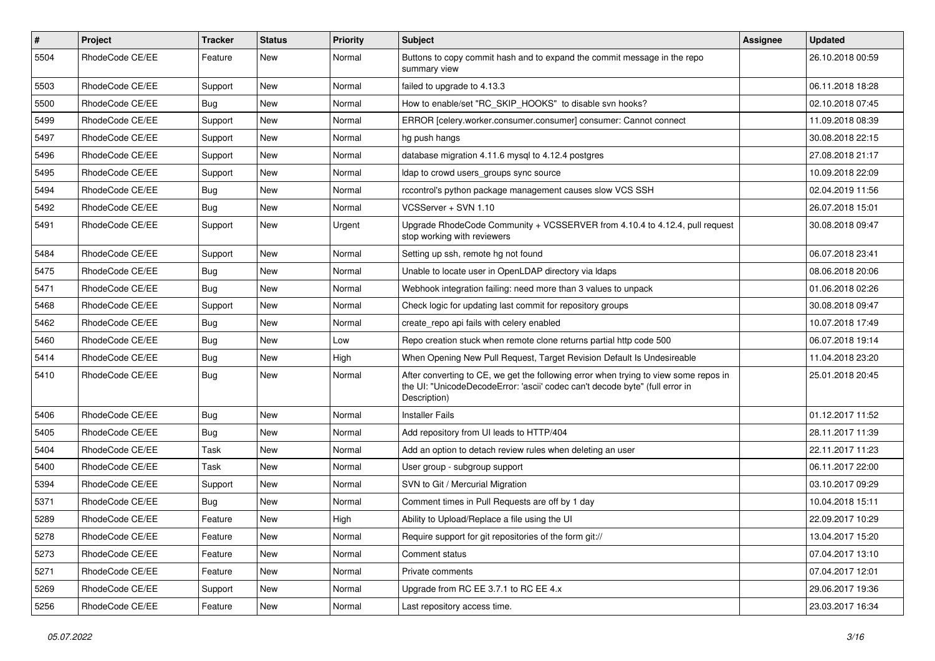| #    | <b>Project</b>  | <b>Tracker</b> | <b>Status</b> | <b>Priority</b> | <b>Subject</b>                                                                                                                                                                       | Assignee | <b>Updated</b>   |
|------|-----------------|----------------|---------------|-----------------|--------------------------------------------------------------------------------------------------------------------------------------------------------------------------------------|----------|------------------|
| 5504 | RhodeCode CE/EE | Feature        | New           | Normal          | Buttons to copy commit hash and to expand the commit message in the repo<br>summary view                                                                                             |          | 26.10.2018 00:59 |
| 5503 | RhodeCode CE/EE | Support        | New           | Normal          | failed to upgrade to 4.13.3                                                                                                                                                          |          | 06.11.2018 18:28 |
| 5500 | RhodeCode CE/EE | <b>Bug</b>     | <b>New</b>    | Normal          | How to enable/set "RC_SKIP_HOOKS" to disable svn hooks?                                                                                                                              |          | 02.10.2018 07:45 |
| 5499 | RhodeCode CE/EE | Support        | <b>New</b>    | Normal          | ERROR [celery.worker.consumer.consumer] consumer: Cannot connect                                                                                                                     |          | 11.09.2018 08:39 |
| 5497 | RhodeCode CE/EE | Support        | New           | Normal          | hg push hangs                                                                                                                                                                        |          | 30.08.2018 22:15 |
| 5496 | RhodeCode CE/EE | Support        | New           | Normal          | database migration 4.11.6 mysql to 4.12.4 postgres                                                                                                                                   |          | 27.08.2018 21:17 |
| 5495 | RhodeCode CE/EE | Support        | New           | Normal          | Idap to crowd users groups sync source                                                                                                                                               |          | 10.09.2018 22:09 |
| 5494 | RhodeCode CE/EE | <b>Bug</b>     | New           | Normal          | rccontrol's python package management causes slow VCS SSH                                                                                                                            |          | 02.04.2019 11:56 |
| 5492 | RhodeCode CE/EE | Bug            | <b>New</b>    | Normal          | VCSServer + SVN 1.10                                                                                                                                                                 |          | 26.07.2018 15:01 |
| 5491 | RhodeCode CE/EE | Support        | New           | Urgent          | Upgrade RhodeCode Community + VCSSERVER from 4.10.4 to 4.12.4, pull request<br>stop working with reviewers                                                                           |          | 30.08.2018 09:47 |
| 5484 | RhodeCode CE/EE | Support        | <b>New</b>    | Normal          | Setting up ssh, remote hg not found                                                                                                                                                  |          | 06.07.2018 23:41 |
| 5475 | RhodeCode CE/EE | Bug            | New           | Normal          | Unable to locate user in OpenLDAP directory via Idaps                                                                                                                                |          | 08.06.2018 20:06 |
| 5471 | RhodeCode CE/EE | Bug            | <b>New</b>    | Normal          | Webhook integration failing: need more than 3 values to unpack                                                                                                                       |          | 01.06.2018 02:26 |
| 5468 | RhodeCode CE/EE | Support        | New           | Normal          | Check logic for updating last commit for repository groups                                                                                                                           |          | 30.08.2018 09:47 |
| 5462 | RhodeCode CE/EE | Bug            | New           | Normal          | create_repo api fails with celery enabled                                                                                                                                            |          | 10.07.2018 17:49 |
| 5460 | RhodeCode CE/EE | Bug            | <b>New</b>    | Low             | Repo creation stuck when remote clone returns partial http code 500                                                                                                                  |          | 06.07.2018 19:14 |
| 5414 | RhodeCode CE/EE | <b>Bug</b>     | <b>New</b>    | High            | When Opening New Pull Request, Target Revision Default Is Undesireable                                                                                                               |          | 11.04.2018 23:20 |
| 5410 | RhodeCode CE/EE | Bug            | New           | Normal          | After converting to CE, we get the following error when trying to view some repos in<br>the UI: "UnicodeDecodeError: 'ascii' codec can't decode byte" (full error in<br>Description) |          | 25.01.2018 20:45 |
| 5406 | RhodeCode CE/EE | Bug            | <b>New</b>    | Normal          | <b>Installer Fails</b>                                                                                                                                                               |          | 01.12.2017 11:52 |
| 5405 | RhodeCode CE/EE | Bug            | New           | Normal          | Add repository from UI leads to HTTP/404                                                                                                                                             |          | 28.11.2017 11:39 |
| 5404 | RhodeCode CE/EE | Task           | <b>New</b>    | Normal          | Add an option to detach review rules when deleting an user                                                                                                                           |          | 22.11.2017 11:23 |
| 5400 | RhodeCode CE/EE | Task           | <b>New</b>    | Normal          | User group - subgroup support                                                                                                                                                        |          | 06.11.2017 22:00 |
| 5394 | RhodeCode CE/EE | Support        | New           | Normal          | SVN to Git / Mercurial Migration                                                                                                                                                     |          | 03.10.2017 09:29 |
| 5371 | RhodeCode CE/EE | Bug            | New           | Normal          | Comment times in Pull Requests are off by 1 day                                                                                                                                      |          | 10.04.2018 15:11 |
| 5289 | RhodeCode CE/EE | Feature        | <b>New</b>    | High            | Ability to Upload/Replace a file using the UI                                                                                                                                        |          | 22.09.2017 10:29 |
| 5278 | RhodeCode CE/EE | Feature        | New           | Normal          | Require support for git repositories of the form git://                                                                                                                              |          | 13.04.2017 15:20 |
| 5273 | RhodeCode CE/EE | Feature        | New           | Normal          | Comment status                                                                                                                                                                       |          | 07.04.2017 13:10 |
| 5271 | RhodeCode CE/EE | Feature        | New           | Normal          | Private comments                                                                                                                                                                     |          | 07.04.2017 12:01 |
| 5269 | RhodeCode CE/EE | Support        | New           | Normal          | Upgrade from RC EE 3.7.1 to RC EE 4.x                                                                                                                                                |          | 29.06.2017 19:36 |
| 5256 | RhodeCode CE/EE | Feature        | New           | Normal          | Last repository access time.                                                                                                                                                         |          | 23.03.2017 16:34 |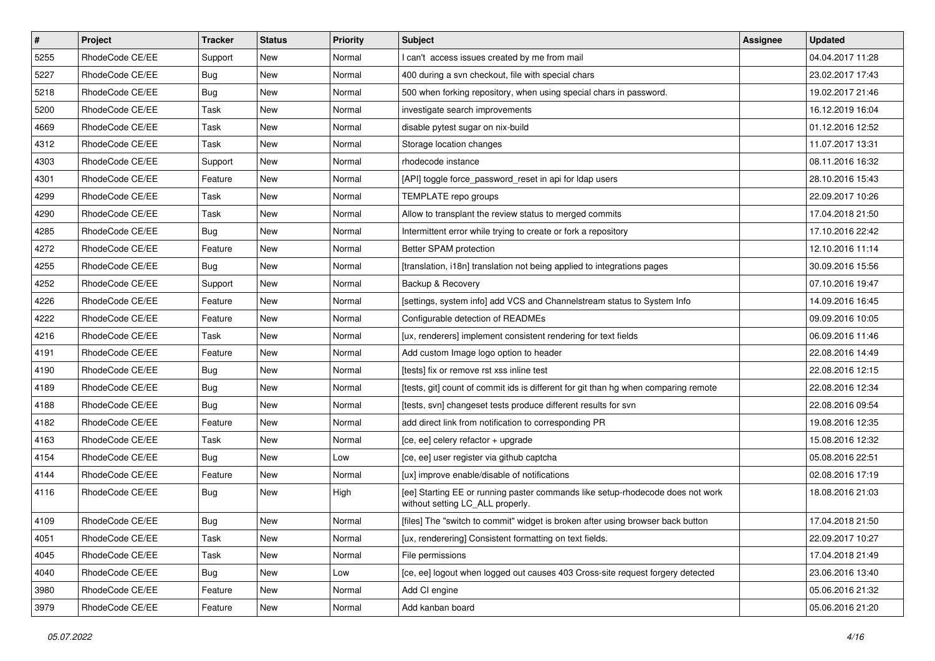| $\pmb{\#}$ | Project         | <b>Tracker</b> | <b>Status</b> | <b>Priority</b> | <b>Subject</b>                                                                                                     | Assignee | <b>Updated</b>   |
|------------|-----------------|----------------|---------------|-----------------|--------------------------------------------------------------------------------------------------------------------|----------|------------------|
| 5255       | RhodeCode CE/EE | Support        | New           | Normal          | I can't access issues created by me from mail                                                                      |          | 04.04.2017 11:28 |
| 5227       | RhodeCode CE/EE | <b>Bug</b>     | New           | Normal          | 400 during a svn checkout, file with special chars                                                                 |          | 23.02.2017 17:43 |
| 5218       | RhodeCode CE/EE | Bug            | New           | Normal          | 500 when forking repository, when using special chars in password.                                                 |          | 19.02.2017 21:46 |
| 5200       | RhodeCode CE/EE | Task           | New           | Normal          | investigate search improvements                                                                                    |          | 16.12.2019 16:04 |
| 4669       | RhodeCode CE/EE | Task           | <b>New</b>    | Normal          | disable pytest sugar on nix-build                                                                                  |          | 01.12.2016 12:52 |
| 4312       | RhodeCode CE/EE | Task           | New           | Normal          | Storage location changes                                                                                           |          | 11.07.2017 13:31 |
| 4303       | RhodeCode CE/EE | Support        | <b>New</b>    | Normal          | rhodecode instance                                                                                                 |          | 08.11.2016 16:32 |
| 4301       | RhodeCode CE/EE | Feature        | New           | Normal          | [API] toggle force password reset in api for Idap users                                                            |          | 28.10.2016 15:43 |
| 4299       | RhodeCode CE/EE | Task           | New           | Normal          | TEMPLATE repo groups                                                                                               |          | 22.09.2017 10:26 |
| 4290       | RhodeCode CE/EE | Task           | <b>New</b>    | Normal          | Allow to transplant the review status to merged commits                                                            |          | 17.04.2018 21:50 |
| 4285       | RhodeCode CE/EE | <b>Bug</b>     | New           | Normal          | Intermittent error while trying to create or fork a repository                                                     |          | 17.10.2016 22:42 |
| 4272       | RhodeCode CE/EE | Feature        | New           | Normal          | Better SPAM protection                                                                                             |          | 12.10.2016 11:14 |
| 4255       | RhodeCode CE/EE | Bug            | New           | Normal          | [translation, i18n] translation not being applied to integrations pages                                            |          | 30.09.2016 15:56 |
| 4252       | RhodeCode CE/EE | Support        | New           | Normal          | Backup & Recovery                                                                                                  |          | 07.10.2016 19:47 |
| 4226       | RhodeCode CE/EE | Feature        | <b>New</b>    | Normal          | [settings, system info] add VCS and Channelstream status to System Info                                            |          | 14.09.2016 16:45 |
| 4222       | RhodeCode CE/EE | Feature        | New           | Normal          | Configurable detection of READMEs                                                                                  |          | 09.09.2016 10:05 |
| 4216       | RhodeCode CE/EE | Task           | New           | Normal          | [ux, renderers] implement consistent rendering for text fields                                                     |          | 06.09.2016 11:46 |
| 4191       | RhodeCode CE/EE | Feature        | <b>New</b>    | Normal          | Add custom Image logo option to header                                                                             |          | 22.08.2016 14:49 |
| 4190       | RhodeCode CE/EE | Bug            | New           | Normal          | [tests] fix or remove rst xss inline test                                                                          |          | 22.08.2016 12:15 |
| 4189       | RhodeCode CE/EE | Bug            | New           | Normal          | [tests, git] count of commit ids is different for git than hg when comparing remote                                |          | 22.08.2016 12:34 |
| 4188       | RhodeCode CE/EE | Bug            | New           | Normal          | [tests, svn] changeset tests produce different results for svn                                                     |          | 22.08.2016 09:54 |
| 4182       | RhodeCode CE/EE | Feature        | New           | Normal          | add direct link from notification to corresponding PR                                                              |          | 19.08.2016 12:35 |
| 4163       | RhodeCode CE/EE | Task           | <b>New</b>    | Normal          | [ce, ee] celery refactor + upgrade                                                                                 |          | 15.08.2016 12:32 |
| 4154       | RhodeCode CE/EE | <b>Bug</b>     | New           | Low             | [ce, ee] user register via github captcha                                                                          |          | 05.08.2016 22:51 |
| 4144       | RhodeCode CE/EE | Feature        | <b>New</b>    | Normal          | [ux] improve enable/disable of notifications                                                                       |          | 02.08.2016 17:19 |
| 4116       | RhodeCode CE/EE | Bug            | New           | High            | [ee] Starting EE or running paster commands like setup-rhodecode does not work<br>without setting LC_ALL properly. |          | 18.08.2016 21:03 |
| 4109       | RhodeCode CE/EE | Bug            | <b>New</b>    | Normal          | [files] The "switch to commit" widget is broken after using browser back button                                    |          | 17.04.2018 21:50 |
| 4051       | RhodeCode CE/EE | Task           | New           | Normal          | [ux, renderering] Consistent formatting on text fields.                                                            |          | 22.09.2017 10:27 |
| 4045       | RhodeCode CE/EE | Task           | New           | Normal          | File permissions                                                                                                   |          | 17.04.2018 21:49 |
| 4040       | RhodeCode CE/EE | Bug            | New           | Low             | [ce, ee] logout when logged out causes 403 Cross-site request forgery detected                                     |          | 23.06.2016 13:40 |
| 3980       | RhodeCode CE/EE | Feature        | New           | Normal          | Add CI engine                                                                                                      |          | 05.06.2016 21:32 |
| 3979       | RhodeCode CE/EE | Feature        | New           | Normal          | Add kanban board                                                                                                   |          | 05.06.2016 21:20 |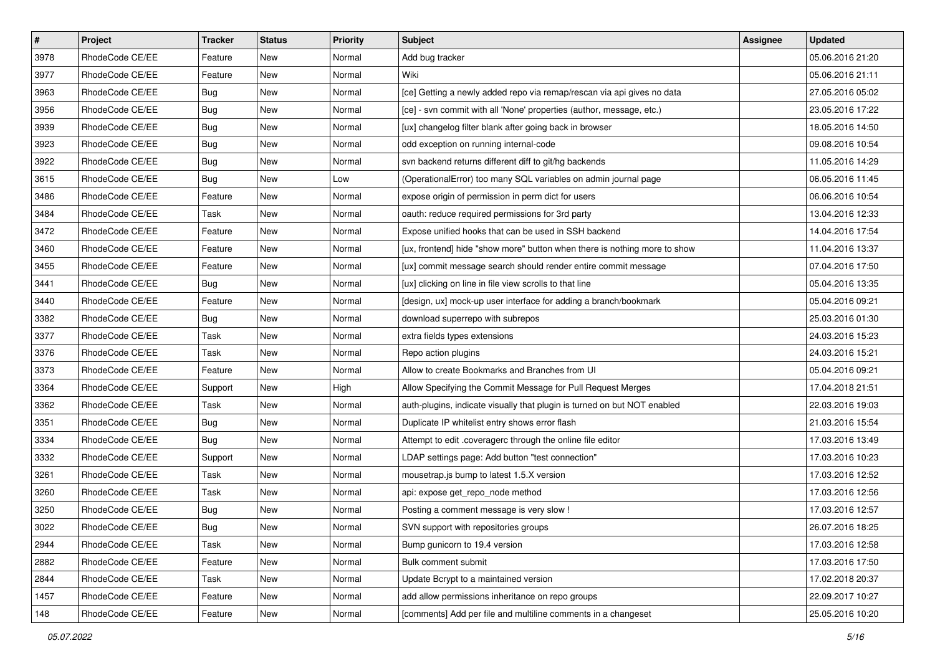| $\vert$ # | Project         | Tracker    | <b>Status</b> | <b>Priority</b> | <b>Subject</b>                                                            | Assignee | <b>Updated</b>   |
|-----------|-----------------|------------|---------------|-----------------|---------------------------------------------------------------------------|----------|------------------|
| 3978      | RhodeCode CE/EE | Feature    | New           | Normal          | Add bug tracker                                                           |          | 05.06.2016 21:20 |
| 3977      | RhodeCode CE/EE | Feature    | <b>New</b>    | Normal          | Wiki                                                                      |          | 05.06.2016 21:11 |
| 3963      | RhodeCode CE/EE | Bug        | New           | Normal          | [ce] Getting a newly added repo via remap/rescan via api gives no data    |          | 27.05.2016 05:02 |
| 3956      | RhodeCode CE/EE | <b>Bug</b> | New           | Normal          | [ce] - svn commit with all 'None' properties (author, message, etc.)      |          | 23.05.2016 17:22 |
| 3939      | RhodeCode CE/EE | Bug        | New           | Normal          | [ux] changelog filter blank after going back in browser                   |          | 18.05.2016 14:50 |
| 3923      | RhodeCode CE/EE | <b>Bug</b> | New           | Normal          | odd exception on running internal-code                                    |          | 09.08.2016 10:54 |
| 3922      | RhodeCode CE/EE | <b>Bug</b> | New           | Normal          | svn backend returns different diff to git/hg backends                     |          | 11.05.2016 14:29 |
| 3615      | RhodeCode CE/EE | Bug        | New           | Low             | (OperationalError) too many SQL variables on admin journal page           |          | 06.05.2016 11:45 |
| 3486      | RhodeCode CE/EE | Feature    | New           | Normal          | expose origin of permission in perm dict for users                        |          | 06.06.2016 10:54 |
| 3484      | RhodeCode CE/EE | Task       | New           | Normal          | oauth: reduce required permissions for 3rd party                          |          | 13.04.2016 12:33 |
| 3472      | RhodeCode CE/EE | Feature    | New           | Normal          | Expose unified hooks that can be used in SSH backend                      |          | 14.04.2016 17:54 |
| 3460      | RhodeCode CE/EE | Feature    | New           | Normal          | [ux, frontend] hide "show more" button when there is nothing more to show |          | 11.04.2016 13:37 |
| 3455      | RhodeCode CE/EE | Feature    | New           | Normal          | [ux] commit message search should render entire commit message            |          | 07.04.2016 17:50 |
| 3441      | RhodeCode CE/EE | <b>Bug</b> | New           | Normal          | [ux] clicking on line in file view scrolls to that line                   |          | 05.04.2016 13:35 |
| 3440      | RhodeCode CE/EE | Feature    | New           | Normal          | [design, ux] mock-up user interface for adding a branch/bookmark          |          | 05.04.2016 09:21 |
| 3382      | RhodeCode CE/EE | Bug        | New           | Normal          | download superrepo with subrepos                                          |          | 25.03.2016 01:30 |
| 3377      | RhodeCode CE/EE | Task       | New           | Normal          | extra fields types extensions                                             |          | 24.03.2016 15:23 |
| 3376      | RhodeCode CE/EE | Task       | New           | Normal          | Repo action plugins                                                       |          | 24.03.2016 15:21 |
| 3373      | RhodeCode CE/EE | Feature    | New           | Normal          | Allow to create Bookmarks and Branches from UI                            |          | 05.04.2016 09:21 |
| 3364      | RhodeCode CE/EE | Support    | New           | High            | Allow Specifying the Commit Message for Pull Request Merges               |          | 17.04.2018 21:51 |
| 3362      | RhodeCode CE/EE | Task       | New           | Normal          | auth-plugins, indicate visually that plugin is turned on but NOT enabled  |          | 22.03.2016 19:03 |
| 3351      | RhodeCode CE/EE | <b>Bug</b> | New           | Normal          | Duplicate IP whitelist entry shows error flash                            |          | 21.03.2016 15:54 |
| 3334      | RhodeCode CE/EE | Bug        | New           | Normal          | Attempt to edit .coveragerc through the online file editor                |          | 17.03.2016 13:49 |
| 3332      | RhodeCode CE/EE | Support    | New           | Normal          | LDAP settings page: Add button "test connection"                          |          | 17.03.2016 10:23 |
| 3261      | RhodeCode CE/EE | Task       | New           | Normal          | mousetrap.js bump to latest 1.5.X version                                 |          | 17.03.2016 12:52 |
| 3260      | RhodeCode CE/EE | Task       | New           | Normal          | api: expose get_repo_node method                                          |          | 17.03.2016 12:56 |
| 3250      | RhodeCode CE/EE | <b>Bug</b> | New           | Normal          | Posting a comment message is very slow !                                  |          | 17.03.2016 12:57 |
| 3022      | RhodeCode CE/EE | <b>Bug</b> | New           | Normal          | SVN support with repositories groups                                      |          | 26.07.2016 18:25 |
| 2944      | RhodeCode CE/EE | Task       | New           | Normal          | Bump gunicorn to 19.4 version                                             |          | 17.03.2016 12:58 |
| 2882      | RhodeCode CE/EE | Feature    | New           | Normal          | Bulk comment submit                                                       |          | 17.03.2016 17:50 |
| 2844      | RhodeCode CE/EE | Task       | New           | Normal          | Update Bcrypt to a maintained version                                     |          | 17.02.2018 20:37 |
| 1457      | RhodeCode CE/EE | Feature    | New           | Normal          | add allow permissions inheritance on repo groups                          |          | 22.09.2017 10:27 |
| 148       | RhodeCode CE/EE | Feature    | New           | Normal          | [comments] Add per file and multiline comments in a changeset             |          | 25.05.2016 10:20 |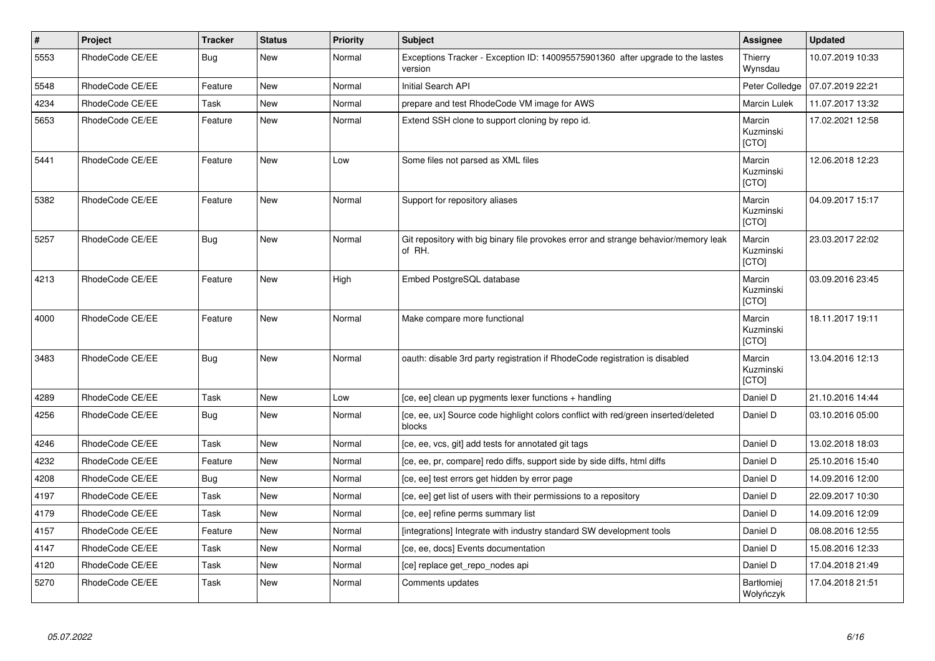| $\vert$ # | Project         | <b>Tracker</b> | <b>Status</b> | Priority | <b>Subject</b>                                                                                | Assignee                            | <b>Updated</b>   |
|-----------|-----------------|----------------|---------------|----------|-----------------------------------------------------------------------------------------------|-------------------------------------|------------------|
| 5553      | RhodeCode CE/EE | Bug            | <b>New</b>    | Normal   | Exceptions Tracker - Exception ID: 140095575901360 after upgrade to the lastes<br>version     | Thierry<br>Wynsdau                  | 10.07.2019 10:33 |
| 5548      | RhodeCode CE/EE | Feature        | <b>New</b>    | Normal   | <b>Initial Search API</b>                                                                     | Peter Colledge                      | 07.07.2019 22:21 |
| 4234      | RhodeCode CE/EE | Task           | <b>New</b>    | Normal   | prepare and test RhodeCode VM image for AWS                                                   | Marcin Lulek                        | 11.07.2017 13:32 |
| 5653      | RhodeCode CE/EE | Feature        | New           | Normal   | Extend SSH clone to support cloning by repo id.                                               | Marcin<br>Kuzminski<br>[CTO]        | 17.02.2021 12:58 |
| 5441      | RhodeCode CE/EE | Feature        | <b>New</b>    | Low      | Some files not parsed as XML files                                                            | Marcin<br>Kuzminski<br>[CTO]        | 12.06.2018 12:23 |
| 5382      | RhodeCode CE/EE | Feature        | <b>New</b>    | Normal   | Support for repository aliases                                                                | Marcin<br>Kuzminski<br><b>[CTO]</b> | 04.09.2017 15:17 |
| 5257      | RhodeCode CE/EE | <b>Bug</b>     | <b>New</b>    | Normal   | Git repository with big binary file provokes error and strange behavior/memory leak<br>of RH. | Marcin<br>Kuzminski<br>[CTO]        | 23.03.2017 22:02 |
| 4213      | RhodeCode CE/EE | Feature        | <b>New</b>    | High     | Embed PostgreSQL database                                                                     | Marcin<br>Kuzminski<br><b>ICTOI</b> | 03.09.2016 23:45 |
| 4000      | RhodeCode CE/EE | Feature        | <b>New</b>    | Normal   | Make compare more functional                                                                  | Marcin<br>Kuzminski<br>[CTO]        | 18.11.2017 19:11 |
| 3483      | RhodeCode CE/EE | <b>Bug</b>     | <b>New</b>    | Normal   | oauth: disable 3rd party registration if RhodeCode registration is disabled                   | Marcin<br>Kuzminski<br>[CTO]        | 13.04.2016 12:13 |
| 4289      | RhodeCode CE/EE | Task           | <b>New</b>    | Low      | [ce, ee] clean up pygments lexer functions + handling                                         | Daniel D                            | 21.10.2016 14:44 |
| 4256      | RhodeCode CE/EE | Bug            | New           | Normal   | [ce, ee, ux] Source code highlight colors conflict with red/green inserted/deleted<br>blocks  | Daniel D                            | 03.10.2016 05:00 |
| 4246      | RhodeCode CE/EE | Task           | <b>New</b>    | Normal   | [ce, ee, vcs, git] add tests for annotated git tags                                           | Daniel D                            | 13.02.2018 18:03 |
| 4232      | RhodeCode CE/EE | Feature        | New           | Normal   | [ce, ee, pr, compare] redo diffs, support side by side diffs, html diffs                      | Daniel D                            | 25.10.2016 15:40 |
| 4208      | RhodeCode CE/EE | Bug            | New           | Normal   | [ce, ee] test errors get hidden by error page                                                 | Daniel D                            | 14.09.2016 12:00 |
| 4197      | RhodeCode CE/EE | Task           | <b>New</b>    | Normal   | [ce, ee] get list of users with their permissions to a repository                             | Daniel D                            | 22.09.2017 10:30 |
| 4179      | RhodeCode CE/EE | Task           | New           | Normal   | [ce, ee] refine perms summary list                                                            | Daniel D                            | 14.09.2016 12:09 |
| 4157      | RhodeCode CE/EE | Feature        | <b>New</b>    | Normal   | [integrations] Integrate with industry standard SW development tools                          | Daniel D                            | 08.08.2016 12:55 |
| 4147      | RhodeCode CE/EE | Task           | <b>New</b>    | Normal   | [ce, ee, docs] Events documentation                                                           | Daniel D                            | 15.08.2016 12:33 |
| 4120      | RhodeCode CE/EE | <b>Task</b>    | <b>New</b>    | Normal   | [ce] replace get_repo_nodes api                                                               | Daniel D                            | 17.04.2018 21:49 |
| 5270      | RhodeCode CE/EE | Task           | <b>New</b>    | Normal   | Comments updates                                                                              | Bartłomiej<br>Wołyńczyk             | 17.04.2018 21:51 |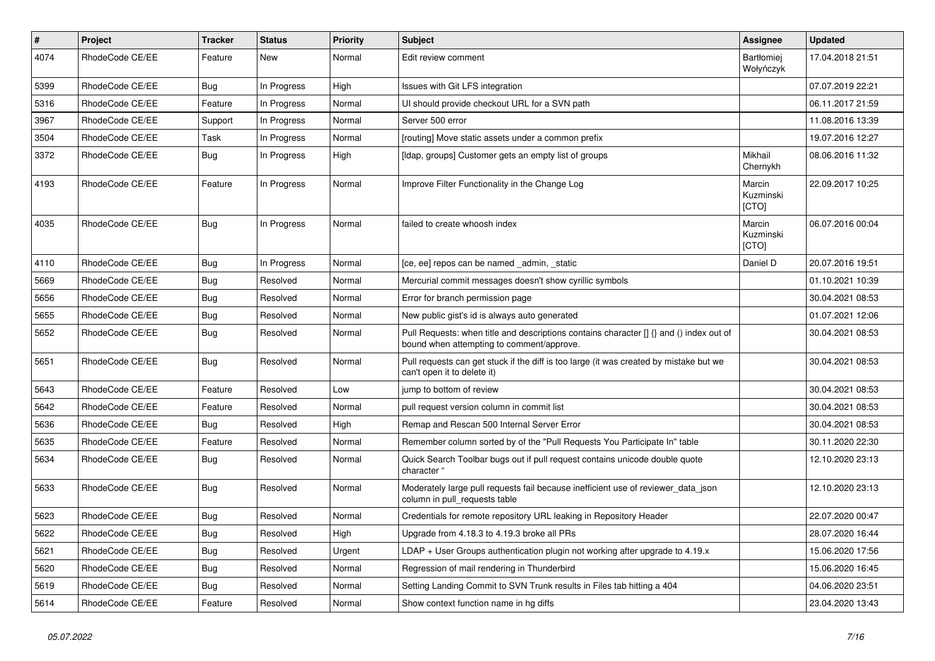| $\vert$ # | <b>Project</b>  | <b>Tracker</b> | <b>Status</b> | <b>Priority</b> | <b>Subject</b>                                                                                                                       | Assignee                       | <b>Updated</b>   |
|-----------|-----------------|----------------|---------------|-----------------|--------------------------------------------------------------------------------------------------------------------------------------|--------------------------------|------------------|
| 4074      | RhodeCode CE/EE | Feature        | <b>New</b>    | Normal          | Edit review comment                                                                                                                  | <b>Bartłomiei</b><br>Wołyńczyk | 17.04.2018 21:51 |
| 5399      | RhodeCode CE/EE | Bug            | In Progress   | High            | Issues with Git LFS integration                                                                                                      |                                | 07.07.2019 22:21 |
| 5316      | RhodeCode CE/EE | Feature        | In Progress   | Normal          | UI should provide checkout URL for a SVN path                                                                                        |                                | 06.11.2017 21:59 |
| 3967      | RhodeCode CE/EE | Support        | In Progress   | Normal          | Server 500 error                                                                                                                     |                                | 11.08.2016 13:39 |
| 3504      | RhodeCode CE/EE | Task           | In Progress   | Normal          | [routing] Move static assets under a common prefix                                                                                   |                                | 19.07.2016 12:27 |
| 3372      | RhodeCode CE/EE | <b>Bug</b>     | In Progress   | High            | [Idap, groups] Customer gets an empty list of groups                                                                                 | Mikhail<br>Chernykh            | 08.06.2016 11:32 |
| 4193      | RhodeCode CE/EE | Feature        | In Progress   | Normal          | Improve Filter Functionality in the Change Log                                                                                       | Marcin<br>Kuzminski<br>[CTO]   | 22.09.2017 10:25 |
| 4035      | RhodeCode CE/EE | Bug            | In Progress   | Normal          | failed to create whoosh index                                                                                                        | Marcin<br>Kuzminski<br>[CTO]   | 06.07.2016 00:04 |
| 4110      | RhodeCode CE/EE | Bua            | In Progress   | Normal          | [ce, ee] repos can be named _admin, _static                                                                                          | Daniel D                       | 20.07.2016 19:51 |
| 5669      | RhodeCode CE/EE | Bug            | Resolved      | Normal          | Mercurial commit messages doesn't show cyrillic symbols                                                                              |                                | 01.10.2021 10:39 |
| 5656      | RhodeCode CE/EE | Bug            | Resolved      | Normal          | Error for branch permission page                                                                                                     |                                | 30.04.2021 08:53 |
| 5655      | RhodeCode CE/EE | Bug            | Resolved      | Normal          | New public gist's id is always auto generated                                                                                        |                                | 01.07.2021 12:06 |
| 5652      | RhodeCode CE/EE | Bug            | Resolved      | Normal          | Pull Requests: when title and descriptions contains character [] {} and () index out of<br>bound when attempting to comment/approve. |                                | 30.04.2021 08:53 |
| 5651      | RhodeCode CE/EE | Bug            | Resolved      | Normal          | Pull requests can get stuck if the diff is too large (it was created by mistake but we<br>can't open it to delete it)                |                                | 30.04.2021 08:53 |
| 5643      | RhodeCode CE/EE | Feature        | Resolved      | Low             | jump to bottom of review                                                                                                             |                                | 30.04.2021 08:53 |
| 5642      | RhodeCode CE/EE | Feature        | Resolved      | Normal          | pull request version column in commit list                                                                                           |                                | 30.04.2021 08:53 |
| 5636      | RhodeCode CE/EE | <b>Bug</b>     | Resolved      | High            | Remap and Rescan 500 Internal Server Error                                                                                           |                                | 30.04.2021 08:53 |
| 5635      | RhodeCode CE/EE | Feature        | Resolved      | Normal          | Remember column sorted by of the "Pull Requests You Participate In" table                                                            |                                | 30.11.2020 22:30 |
| 5634      | RhodeCode CE/EE | Bug            | Resolved      | Normal          | Quick Search Toolbar bugs out if pull request contains unicode double quote<br>character "                                           |                                | 12.10.2020 23:13 |
| 5633      | RhodeCode CE/EE | Bug            | Resolved      | Normal          | Moderately large pull requests fail because inefficient use of reviewer_data_json<br>column in pull requests table                   |                                | 12.10.2020 23:13 |
| 5623      | RhodeCode CE/EE | <b>Bug</b>     | Resolved      | Normal          | Credentials for remote repository URL leaking in Repository Header                                                                   |                                | 22.07.2020 00:47 |
| 5622      | RhodeCode CE/EE | Bug            | Resolved      | High            | Upgrade from 4.18.3 to 4.19.3 broke all PRs                                                                                          |                                | 28.07.2020 16:44 |
| 5621      | RhodeCode CE/EE | Bug            | Resolved      | Urgent          | LDAP + User Groups authentication plugin not working after upgrade to 4.19.x                                                         |                                | 15.06.2020 17:56 |
| 5620      | RhodeCode CE/EE | Bug            | Resolved      | Normal          | Regression of mail rendering in Thunderbird                                                                                          |                                | 15.06.2020 16:45 |
| 5619      | RhodeCode CE/EE | Bug            | Resolved      | Normal          | Setting Landing Commit to SVN Trunk results in Files tab hitting a 404                                                               |                                | 04.06.2020 23:51 |
| 5614      | RhodeCode CE/EE | Feature        | Resolved      | Normal          | Show context function name in hg diffs                                                                                               |                                | 23.04.2020 13:43 |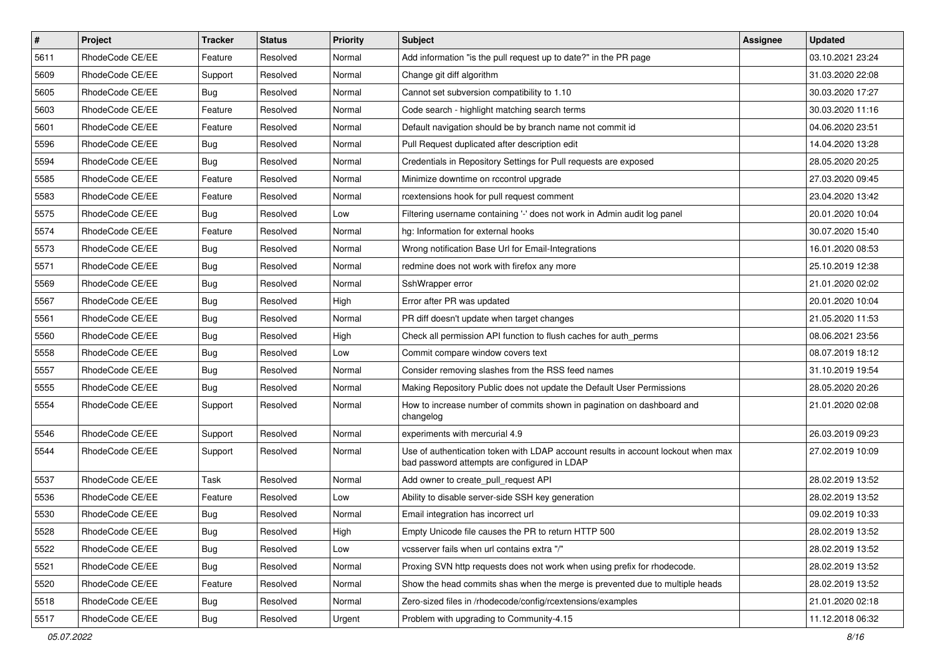| $\vert$ # | Project         | Tracker    | <b>Status</b> | <b>Priority</b> | Subject                                                                                                                           | <b>Assignee</b> | <b>Updated</b>   |
|-----------|-----------------|------------|---------------|-----------------|-----------------------------------------------------------------------------------------------------------------------------------|-----------------|------------------|
| 5611      | RhodeCode CE/EE | Feature    | Resolved      | Normal          | Add information "is the pull request up to date?" in the PR page                                                                  |                 | 03.10.2021 23:24 |
| 5609      | RhodeCode CE/EE | Support    | Resolved      | Normal          | Change git diff algorithm                                                                                                         |                 | 31.03.2020 22:08 |
| 5605      | RhodeCode CE/EE | Bug        | Resolved      | Normal          | Cannot set subversion compatibility to 1.10                                                                                       |                 | 30.03.2020 17:27 |
| 5603      | RhodeCode CE/EE | Feature    | Resolved      | Normal          | Code search - highlight matching search terms                                                                                     |                 | 30.03.2020 11:16 |
| 5601      | RhodeCode CE/EE | Feature    | Resolved      | Normal          | Default navigation should be by branch name not commit id                                                                         |                 | 04.06.2020 23:51 |
| 5596      | RhodeCode CE/EE | Bug        | Resolved      | Normal          | Pull Request duplicated after description edit                                                                                    |                 | 14.04.2020 13:28 |
| 5594      | RhodeCode CE/EE | <b>Bug</b> | Resolved      | Normal          | Credentials in Repository Settings for Pull requests are exposed                                                                  |                 | 28.05.2020 20:25 |
| 5585      | RhodeCode CE/EE | Feature    | Resolved      | Normal          | Minimize downtime on rccontrol upgrade                                                                                            |                 | 27.03.2020 09:45 |
| 5583      | RhodeCode CE/EE | Feature    | Resolved      | Normal          | rcextensions hook for pull request comment                                                                                        |                 | 23.04.2020 13:42 |
| 5575      | RhodeCode CE/EE | <b>Bug</b> | Resolved      | Low             | Filtering username containing '-' does not work in Admin audit log panel                                                          |                 | 20.01.2020 10:04 |
| 5574      | RhodeCode CE/EE | Feature    | Resolved      | Normal          | hg: Information for external hooks                                                                                                |                 | 30.07.2020 15:40 |
| 5573      | RhodeCode CE/EE | <b>Bug</b> | Resolved      | Normal          | Wrong notification Base Url for Email-Integrations                                                                                |                 | 16.01.2020 08:53 |
| 5571      | RhodeCode CE/EE | <b>Bug</b> | Resolved      | Normal          | redmine does not work with firefox any more                                                                                       |                 | 25.10.2019 12:38 |
| 5569      | RhodeCode CE/EE | <b>Bug</b> | Resolved      | Normal          | SshWrapper error                                                                                                                  |                 | 21.01.2020 02:02 |
| 5567      | RhodeCode CE/EE | <b>Bug</b> | Resolved      | High            | Error after PR was updated                                                                                                        |                 | 20.01.2020 10:04 |
| 5561      | RhodeCode CE/EE | <b>Bug</b> | Resolved      | Normal          | PR diff doesn't update when target changes                                                                                        |                 | 21.05.2020 11:53 |
| 5560      | RhodeCode CE/EE | <b>Bug</b> | Resolved      | High            | Check all permission API function to flush caches for auth perms                                                                  |                 | 08.06.2021 23:56 |
| 5558      | RhodeCode CE/EE | <b>Bug</b> | Resolved      | Low             | Commit compare window covers text                                                                                                 |                 | 08.07.2019 18:12 |
| 5557      | RhodeCode CE/EE | <b>Bug</b> | Resolved      | Normal          | Consider removing slashes from the RSS feed names                                                                                 |                 | 31.10.2019 19:54 |
| 5555      | RhodeCode CE/EE | Bug        | Resolved      | Normal          | Making Repository Public does not update the Default User Permissions                                                             |                 | 28.05.2020 20:26 |
| 5554      | RhodeCode CE/EE | Support    | Resolved      | Normal          | How to increase number of commits shown in pagination on dashboard and<br>changelog                                               |                 | 21.01.2020 02:08 |
| 5546      | RhodeCode CE/EE | Support    | Resolved      | Normal          | experiments with mercurial 4.9                                                                                                    |                 | 26.03.2019 09:23 |
| 5544      | RhodeCode CE/EE | Support    | Resolved      | Normal          | Use of authentication token with LDAP account results in account lockout when max<br>bad password attempts are configured in LDAP |                 | 27.02.2019 10:09 |
| 5537      | RhodeCode CE/EE | Task       | Resolved      | Normal          | Add owner to create_pull_request API                                                                                              |                 | 28.02.2019 13:52 |
| 5536      | RhodeCode CE/EE | Feature    | Resolved      | Low             | Ability to disable server-side SSH key generation                                                                                 |                 | 28.02.2019 13:52 |
| 5530      | RhodeCode CE/EE | Bug        | Resolved      | Normal          | Email integration has incorrect url                                                                                               |                 | 09.02.2019 10:33 |
| 5528      | RhodeCode CE/EE | <b>Bug</b> | Resolved      | High            | Empty Unicode file causes the PR to return HTTP 500                                                                               |                 | 28.02.2019 13:52 |
| 5522      | RhodeCode CE/EE | <b>Bug</b> | Resolved      | Low             | vcsserver fails when url contains extra "/"                                                                                       |                 | 28.02.2019 13:52 |
| 5521      | RhodeCode CE/EE | Bug        | Resolved      | Normal          | Proxing SVN http requests does not work when using prefix for rhodecode.                                                          |                 | 28.02.2019 13:52 |
| 5520      | RhodeCode CE/EE | Feature    | Resolved      | Normal          | Show the head commits shas when the merge is prevented due to multiple heads                                                      |                 | 28.02.2019 13:52 |
| 5518      | RhodeCode CE/EE | <b>Bug</b> | Resolved      | Normal          | Zero-sized files in /rhodecode/config/rcextensions/examples                                                                       |                 | 21.01.2020 02:18 |
| 5517      | RhodeCode CE/EE | <b>Bug</b> | Resolved      | Urgent          | Problem with upgrading to Community-4.15                                                                                          |                 | 11.12.2018 06:32 |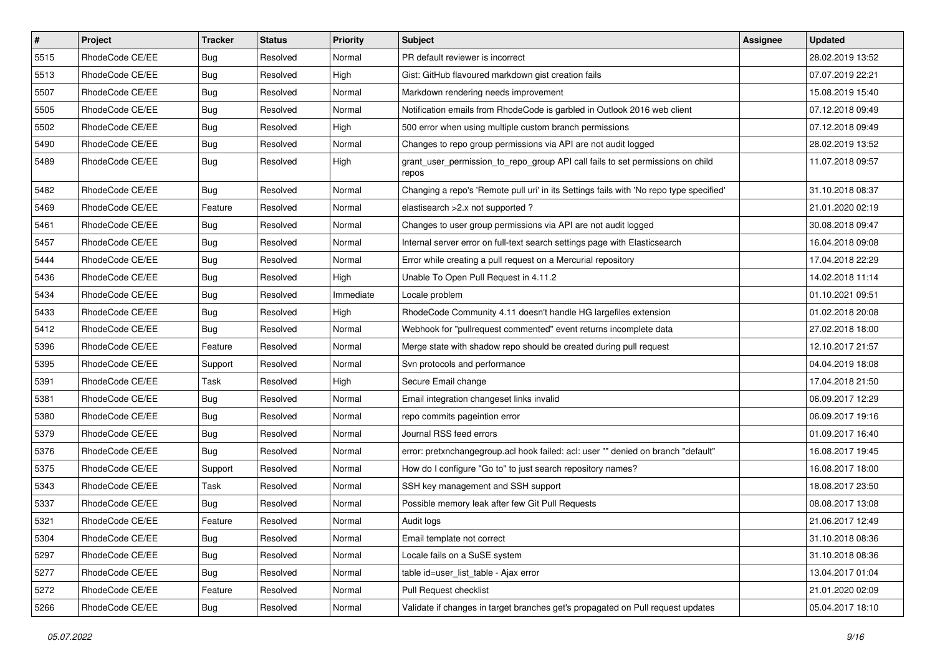| $\vert$ # | Project         | <b>Tracker</b> | <b>Status</b> | <b>Priority</b> | <b>Subject</b>                                                                          | <b>Assignee</b> | <b>Updated</b>   |
|-----------|-----------------|----------------|---------------|-----------------|-----------------------------------------------------------------------------------------|-----------------|------------------|
| 5515      | RhodeCode CE/EE | <b>Bug</b>     | Resolved      | Normal          | PR default reviewer is incorrect                                                        |                 | 28.02.2019 13:52 |
| 5513      | RhodeCode CE/EE | <b>Bug</b>     | Resolved      | High            | Gist: GitHub flavoured markdown gist creation fails                                     |                 | 07.07.2019 22:21 |
| 5507      | RhodeCode CE/EE | <b>Bug</b>     | Resolved      | Normal          | Markdown rendering needs improvement                                                    |                 | 15.08.2019 15:40 |
| 5505      | RhodeCode CE/EE | <b>Bug</b>     | Resolved      | Normal          | Notification emails from RhodeCode is garbled in Outlook 2016 web client                |                 | 07.12.2018 09:49 |
| 5502      | RhodeCode CE/EE | <b>Bug</b>     | Resolved      | High            | 500 error when using multiple custom branch permissions                                 |                 | 07.12.2018 09:49 |
| 5490      | RhodeCode CE/EE | <b>Bug</b>     | Resolved      | Normal          | Changes to repo group permissions via API are not audit logged                          |                 | 28.02.2019 13:52 |
| 5489      | RhodeCode CE/EE | Bug            | Resolved      | High            | grant_user_permission_to_repo_group API call fails to set permissions on child<br>repos |                 | 11.07.2018 09:57 |
| 5482      | RhodeCode CE/EE | Bug            | Resolved      | Normal          | Changing a repo's 'Remote pull uri' in its Settings fails with 'No repo type specified' |                 | 31.10.2018 08:37 |
| 5469      | RhodeCode CE/EE | Feature        | Resolved      | Normal          | elastisearch > 2.x not supported?                                                       |                 | 21.01.2020 02:19 |
| 5461      | RhodeCode CE/EE | Bug            | Resolved      | Normal          | Changes to user group permissions via API are not audit logged                          |                 | 30.08.2018 09:47 |
| 5457      | RhodeCode CE/EE | <b>Bug</b>     | Resolved      | Normal          | Internal server error on full-text search settings page with Elasticsearch              |                 | 16.04.2018 09:08 |
| 5444      | RhodeCode CE/EE | <b>Bug</b>     | Resolved      | Normal          | Error while creating a pull request on a Mercurial repository                           |                 | 17.04.2018 22:29 |
| 5436      | RhodeCode CE/EE | <b>Bug</b>     | Resolved      | High            | Unable To Open Pull Request in 4.11.2                                                   |                 | 14.02.2018 11:14 |
| 5434      | RhodeCode CE/EE | <b>Bug</b>     | Resolved      | Immediate       | Locale problem                                                                          |                 | 01.10.2021 09:51 |
| 5433      | RhodeCode CE/EE | <b>Bug</b>     | Resolved      | High            | RhodeCode Community 4.11 doesn't handle HG largefiles extension                         |                 | 01.02.2018 20:08 |
| 5412      | RhodeCode CE/EE | <b>Bug</b>     | Resolved      | Normal          | Webhook for "pullrequest commented" event returns incomplete data                       |                 | 27.02.2018 18:00 |
| 5396      | RhodeCode CE/EE | Feature        | Resolved      | Normal          | Merge state with shadow repo should be created during pull request                      |                 | 12.10.2017 21:57 |
| 5395      | RhodeCode CE/EE | Support        | Resolved      | Normal          | Svn protocols and performance                                                           |                 | 04.04.2019 18:08 |
| 5391      | RhodeCode CE/EE | Task           | Resolved      | High            | Secure Email change                                                                     |                 | 17.04.2018 21:50 |
| 5381      | RhodeCode CE/EE | <b>Bug</b>     | Resolved      | Normal          | Email integration changeset links invalid                                               |                 | 06.09.2017 12:29 |
| 5380      | RhodeCode CE/EE | <b>Bug</b>     | Resolved      | Normal          | repo commits pageintion error                                                           |                 | 06.09.2017 19:16 |
| 5379      | RhodeCode CE/EE | <b>Bug</b>     | Resolved      | Normal          | Journal RSS feed errors                                                                 |                 | 01.09.2017 16:40 |
| 5376      | RhodeCode CE/EE | Bug            | Resolved      | Normal          | error: pretxnchangegroup.acl hook failed: acl: user "" denied on branch "default"       |                 | 16.08.2017 19:45 |
| 5375      | RhodeCode CE/EE | Support        | Resolved      | Normal          | How do I configure "Go to" to just search repository names?                             |                 | 16.08.2017 18:00 |
| 5343      | RhodeCode CE/EE | Task           | Resolved      | Normal          | SSH key management and SSH support                                                      |                 | 18.08.2017 23:50 |
| 5337      | RhodeCode CE/EE | <b>Bug</b>     | Resolved      | Normal          | Possible memory leak after few Git Pull Requests                                        |                 | 08.08.2017 13:08 |
| 5321      | RhodeCode CE/EE | Feature        | Resolved      | Normal          | Audit logs                                                                              |                 | 21.06.2017 12:49 |
| 5304      | RhodeCode CE/EE | <b>Bug</b>     | Resolved      | Normal          | Email template not correct                                                              |                 | 31.10.2018 08:36 |
| 5297      | RhodeCode CE/EE | <b>Bug</b>     | Resolved      | Normal          | Locale fails on a SuSE system                                                           |                 | 31.10.2018 08:36 |
| 5277      | RhodeCode CE/EE | <b>Bug</b>     | Resolved      | Normal          | table id=user_list_table - Ajax error                                                   |                 | 13.04.2017 01:04 |
| 5272      | RhodeCode CE/EE | Feature        | Resolved      | Normal          | Pull Request checklist                                                                  |                 | 21.01.2020 02:09 |
| 5266      | RhodeCode CE/EE | Bug            | Resolved      | Normal          | Validate if changes in target branches get's propagated on Pull request updates         |                 | 05.04.2017 18:10 |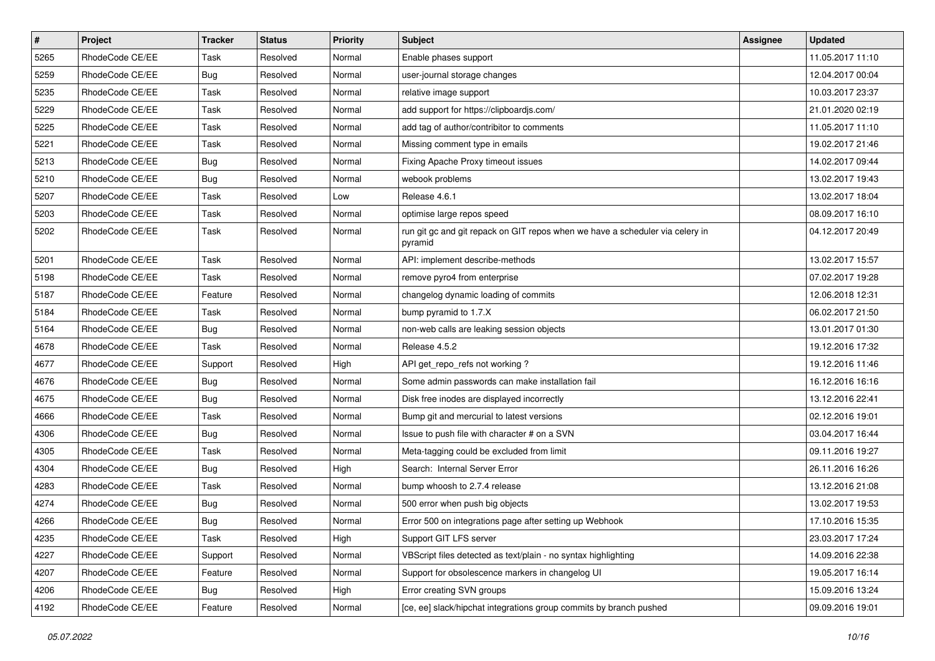| $\vert$ # | Project         | Tracker    | <b>Status</b> | <b>Priority</b> | Subject                                                                                  | Assignee | <b>Updated</b>   |
|-----------|-----------------|------------|---------------|-----------------|------------------------------------------------------------------------------------------|----------|------------------|
| 5265      | RhodeCode CE/EE | Task       | Resolved      | Normal          | Enable phases support                                                                    |          | 11.05.2017 11:10 |
| 5259      | RhodeCode CE/EE | <b>Bug</b> | Resolved      | Normal          | user-journal storage changes                                                             |          | 12.04.2017 00:04 |
| 5235      | RhodeCode CE/EE | Task       | Resolved      | Normal          | relative image support                                                                   |          | 10.03.2017 23:37 |
| 5229      | RhodeCode CE/EE | Task       | Resolved      | Normal          | add support for https://clipboardjs.com/                                                 |          | 21.01.2020 02:19 |
| 5225      | RhodeCode CE/EE | Task       | Resolved      | Normal          | add tag of author/contribitor to comments                                                |          | 11.05.2017 11:10 |
| 5221      | RhodeCode CE/EE | Task       | Resolved      | Normal          | Missing comment type in emails                                                           |          | 19.02.2017 21:46 |
| 5213      | RhodeCode CE/EE | <b>Bug</b> | Resolved      | Normal          | Fixing Apache Proxy timeout issues                                                       |          | 14.02.2017 09:44 |
| 5210      | RhodeCode CE/EE | <b>Bug</b> | Resolved      | Normal          | webook problems                                                                          |          | 13.02.2017 19:43 |
| 5207      | RhodeCode CE/EE | Task       | Resolved      | Low             | Release 4.6.1                                                                            |          | 13.02.2017 18:04 |
| 5203      | RhodeCode CE/EE | Task       | Resolved      | Normal          | optimise large repos speed                                                               |          | 08.09.2017 16:10 |
| 5202      | RhodeCode CE/EE | Task       | Resolved      | Normal          | run git gc and git repack on GIT repos when we have a scheduler via celery in<br>pyramid |          | 04.12.2017 20:49 |
| 5201      | RhodeCode CE/EE | Task       | Resolved      | Normal          | API: implement describe-methods                                                          |          | 13.02.2017 15:57 |
| 5198      | RhodeCode CE/EE | Task       | Resolved      | Normal          | remove pyro4 from enterprise                                                             |          | 07.02.2017 19:28 |
| 5187      | RhodeCode CE/EE | Feature    | Resolved      | Normal          | changelog dynamic loading of commits                                                     |          | 12.06.2018 12:31 |
| 5184      | RhodeCode CE/EE | Task       | Resolved      | Normal          | bump pyramid to 1.7.X                                                                    |          | 06.02.2017 21:50 |
| 5164      | RhodeCode CE/EE | Bug        | Resolved      | Normal          | non-web calls are leaking session objects                                                |          | 13.01.2017 01:30 |
| 4678      | RhodeCode CE/EE | Task       | Resolved      | Normal          | Release 4.5.2                                                                            |          | 19.12.2016 17:32 |
| 4677      | RhodeCode CE/EE | Support    | Resolved      | High            | API get_repo_refs not working?                                                           |          | 19.12.2016 11:46 |
| 4676      | RhodeCode CE/EE | Bug        | Resolved      | Normal          | Some admin passwords can make installation fail                                          |          | 16.12.2016 16:16 |
| 4675      | RhodeCode CE/EE | <b>Bug</b> | Resolved      | Normal          | Disk free inodes are displayed incorrectly                                               |          | 13.12.2016 22:41 |
| 4666      | RhodeCode CE/EE | Task       | Resolved      | Normal          | Bump git and mercurial to latest versions                                                |          | 02.12.2016 19:01 |
| 4306      | RhodeCode CE/EE | <b>Bug</b> | Resolved      | Normal          | Issue to push file with character # on a SVN                                             |          | 03.04.2017 16:44 |
| 4305      | RhodeCode CE/EE | Task       | Resolved      | Normal          | Meta-tagging could be excluded from limit                                                |          | 09.11.2016 19:27 |
| 4304      | RhodeCode CE/EE | Bug        | Resolved      | High            | Search: Internal Server Error                                                            |          | 26.11.2016 16:26 |
| 4283      | RhodeCode CE/EE | Task       | Resolved      | Normal          | bump whoosh to 2.7.4 release                                                             |          | 13.12.2016 21:08 |
| 4274      | RhodeCode CE/EE | <b>Bug</b> | Resolved      | Normal          | 500 error when push big objects                                                          |          | 13.02.2017 19:53 |
| 4266      | RhodeCode CE/EE | Bug        | Resolved      | Normal          | Error 500 on integrations page after setting up Webhook                                  |          | 17.10.2016 15:35 |
| 4235      | RhodeCode CE/EE | Task       | Resolved      | High            | Support GIT LFS server                                                                   |          | 23.03.2017 17:24 |
| 4227      | RhodeCode CE/EE | Support    | Resolved      | Normal          | VBScript files detected as text/plain - no syntax highlighting                           |          | 14.09.2016 22:38 |
| 4207      | RhodeCode CE/EE | Feature    | Resolved      | Normal          | Support for obsolescence markers in changelog UI                                         |          | 19.05.2017 16:14 |
| 4206      | RhodeCode CE/EE | <b>Bug</b> | Resolved      | High            | Error creating SVN groups                                                                |          | 15.09.2016 13:24 |
| 4192      | RhodeCode CE/EE | Feature    | Resolved      | Normal          | [ce, ee] slack/hipchat integrations group commits by branch pushed                       |          | 09.09.2016 19:01 |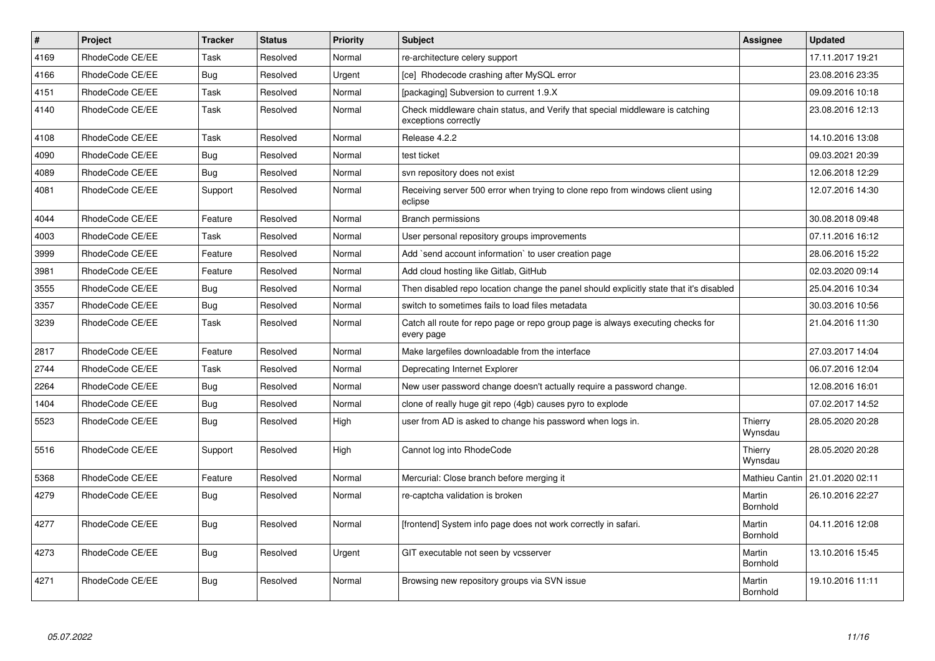| $\vert$ # | <b>Project</b>  | <b>Tracker</b> | <b>Status</b> | <b>Priority</b> | <b>Subject</b>                                                                                        | Assignee           | <b>Updated</b>   |
|-----------|-----------------|----------------|---------------|-----------------|-------------------------------------------------------------------------------------------------------|--------------------|------------------|
| 4169      | RhodeCode CE/EE | Task           | Resolved      | Normal          | re-architecture celery support                                                                        |                    | 17.11.2017 19:21 |
| 4166      | RhodeCode CE/EE | <b>Bug</b>     | Resolved      | Urgent          | [ce] Rhodecode crashing after MySQL error                                                             |                    | 23.08.2016 23:35 |
| 4151      | RhodeCode CE/EE | Task           | Resolved      | Normal          | [packaging] Subversion to current 1.9.X                                                               |                    | 09.09.2016 10:18 |
| 4140      | RhodeCode CE/EE | Task           | Resolved      | Normal          | Check middleware chain status, and Verify that special middleware is catching<br>exceptions correctly |                    | 23.08.2016 12:13 |
| 4108      | RhodeCode CE/EE | Task           | Resolved      | Normal          | Release 4.2.2                                                                                         |                    | 14.10.2016 13:08 |
| 4090      | RhodeCode CE/EE | Bug            | Resolved      | Normal          | test ticket                                                                                           |                    | 09.03.2021 20:39 |
| 4089      | RhodeCode CE/EE | Bug            | Resolved      | Normal          | svn repository does not exist                                                                         |                    | 12.06.2018 12:29 |
| 4081      | RhodeCode CE/EE | Support        | Resolved      | Normal          | Receiving server 500 error when trying to clone repo from windows client using<br>eclipse             |                    | 12.07.2016 14:30 |
| 4044      | RhodeCode CE/EE | Feature        | Resolved      | Normal          | <b>Branch permissions</b>                                                                             |                    | 30.08.2018 09:48 |
| 4003      | RhodeCode CE/EE | Task           | Resolved      | Normal          | User personal repository groups improvements                                                          |                    | 07.11.2016 16:12 |
| 3999      | RhodeCode CE/EE | Feature        | Resolved      | Normal          | Add `send account information` to user creation page                                                  |                    | 28.06.2016 15:22 |
| 3981      | RhodeCode CE/EE | Feature        | Resolved      | Normal          | Add cloud hosting like Gitlab, GitHub                                                                 |                    | 02.03.2020 09:14 |
| 3555      | RhodeCode CE/EE | Bug            | Resolved      | Normal          | Then disabled repo location change the panel should explicitly state that it's disabled               |                    | 25.04.2016 10:34 |
| 3357      | RhodeCode CE/EE | Bug            | Resolved      | Normal          | switch to sometimes fails to load files metadata                                                      |                    | 30.03.2016 10:56 |
| 3239      | RhodeCode CE/EE | Task           | Resolved      | Normal          | Catch all route for repo page or repo group page is always executing checks for<br>every page         |                    | 21.04.2016 11:30 |
| 2817      | RhodeCode CE/EE | Feature        | Resolved      | Normal          | Make largefiles downloadable from the interface                                                       |                    | 27.03.2017 14:04 |
| 2744      | RhodeCode CE/EE | Task           | Resolved      | Normal          | Deprecating Internet Explorer                                                                         |                    | 06.07.2016 12:04 |
| 2264      | RhodeCode CE/EE | Bug            | Resolved      | Normal          | New user password change doesn't actually require a password change.                                  |                    | 12.08.2016 16:01 |
| 1404      | RhodeCode CE/EE | <b>Bug</b>     | Resolved      | Normal          | clone of really huge git repo (4gb) causes pyro to explode                                            |                    | 07.02.2017 14:52 |
| 5523      | RhodeCode CE/EE | Bug            | Resolved      | High            | user from AD is asked to change his password when logs in.                                            | Thierry<br>Wynsdau | 28.05.2020 20:28 |
| 5516      | RhodeCode CE/EE | Support        | Resolved      | High            | Cannot log into RhodeCode                                                                             | Thierry<br>Wynsdau | 28.05.2020 20:28 |
| 5368      | RhodeCode CE/EE | Feature        | Resolved      | Normal          | Mercurial: Close branch before merging it                                                             | Mathieu Cantin     | 21.01.2020 02:11 |
| 4279      | RhodeCode CE/EE | <b>Bug</b>     | Resolved      | Normal          | re-captcha validation is broken                                                                       | Martin<br>Bornhold | 26.10.2016 22:27 |
| 4277      | RhodeCode CE/EE | Bug            | Resolved      | Normal          | [frontend] System info page does not work correctly in safari.                                        | Martin<br>Bornhold | 04.11.2016 12:08 |
| 4273      | RhodeCode CE/EE | Bug            | Resolved      | Urgent          | GIT executable not seen by vcsserver                                                                  | Martin<br>Bornhold | 13.10.2016 15:45 |
| 4271      | RhodeCode CE/EE | Bug            | Resolved      | Normal          | Browsing new repository groups via SVN issue                                                          | Martin<br>Bornhold | 19.10.2016 11:11 |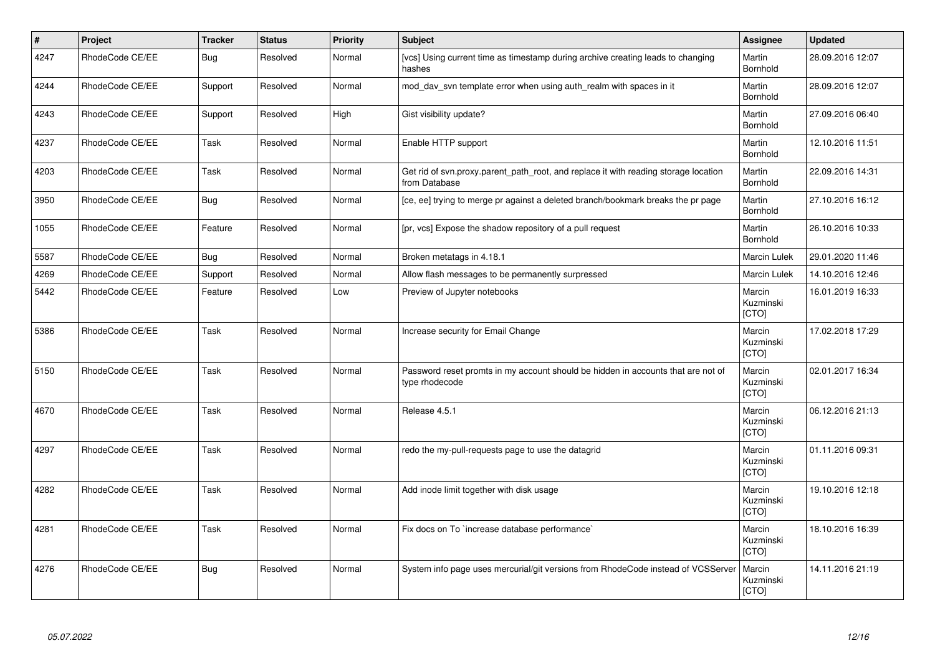| $\vert$ # | Project         | <b>Tracker</b> | <b>Status</b> | <b>Priority</b> | <b>Subject</b>                                                                                       | Assignee                     | <b>Updated</b>   |
|-----------|-----------------|----------------|---------------|-----------------|------------------------------------------------------------------------------------------------------|------------------------------|------------------|
| 4247      | RhodeCode CE/EE | Bug            | Resolved      | Normal          | [vcs] Using current time as timestamp during archive creating leads to changing<br>hashes            | Martin<br>Bornhold           | 28.09.2016 12:07 |
| 4244      | RhodeCode CE/EE | Support        | Resolved      | Normal          | mod day syn template error when using auth realm with spaces in it                                   | Martin<br>Bornhold           | 28.09.2016 12:07 |
| 4243      | RhodeCode CE/EE | Support        | Resolved      | High            | Gist visibility update?                                                                              | Martin<br>Bornhold           | 27.09.2016 06:40 |
| 4237      | RhodeCode CE/EE | Task           | Resolved      | Normal          | Enable HTTP support                                                                                  | Martin<br>Bornhold           | 12.10.2016 11:51 |
| 4203      | RhodeCode CE/EE | Task           | Resolved      | Normal          | Get rid of svn.proxy.parent path root, and replace it with reading storage location<br>from Database | Martin<br>Bornhold           | 22.09.2016 14:31 |
| 3950      | RhodeCode CE/EE | Bug            | Resolved      | Normal          | [ce, ee] trying to merge pr against a deleted branch/bookmark breaks the pr page                     | Martin<br>Bornhold           | 27.10.2016 16:12 |
| 1055      | RhodeCode CE/EE | Feature        | Resolved      | Normal          | [pr, vcs] Expose the shadow repository of a pull request                                             | Martin<br>Bornhold           | 26.10.2016 10:33 |
| 5587      | RhodeCode CE/EE | Bug            | Resolved      | Normal          | Broken metatags in 4.18.1                                                                            | <b>Marcin Lulek</b>          | 29.01.2020 11:46 |
| 4269      | RhodeCode CE/EE | Support        | Resolved      | Normal          | Allow flash messages to be permanently surpressed                                                    | Marcin Lulek                 | 14.10.2016 12:46 |
| 5442      | RhodeCode CE/EE | Feature        | Resolved      | Low             | Preview of Jupyter notebooks                                                                         | Marcin<br>Kuzminski<br>[CTO] | 16.01.2019 16:33 |
| 5386      | RhodeCode CE/EE | Task           | Resolved      | Normal          | Increase security for Email Change                                                                   | Marcin<br>Kuzminski<br>[CTO] | 17.02.2018 17:29 |
| 5150      | RhodeCode CE/EE | <b>Task</b>    | Resolved      | Normal          | Password reset promts in my account should be hidden in accounts that are not of<br>type rhodecode   | Marcin<br>Kuzminski<br>[CTO] | 02.01.2017 16:34 |
| 4670      | RhodeCode CE/EE | Task           | Resolved      | Normal          | Release 4.5.1                                                                                        | Marcin<br>Kuzminski<br>[CTO] | 06.12.2016 21:13 |
| 4297      | RhodeCode CE/EE | Task           | Resolved      | Normal          | redo the my-pull-requests page to use the datagrid                                                   | Marcin<br>Kuzminski<br>[CTO] | 01.11.2016 09:31 |
| 4282      | RhodeCode CE/EE | Task           | Resolved      | Normal          | Add inode limit together with disk usage                                                             | Marcin<br>Kuzminski<br>[CTO] | 19.10.2016 12:18 |
| 4281      | RhodeCode CE/EE | Task           | Resolved      | Normal          | Fix docs on To `increase database performance`                                                       | Marcin<br>Kuzminski<br>[CTO] | 18.10.2016 16:39 |
| 4276      | RhodeCode CE/EE | Bug            | Resolved      | Normal          | System info page uses mercurial/git versions from RhodeCode instead of VCSServer                     | Marcin<br>Kuzminski<br>[CTO] | 14.11.2016 21:19 |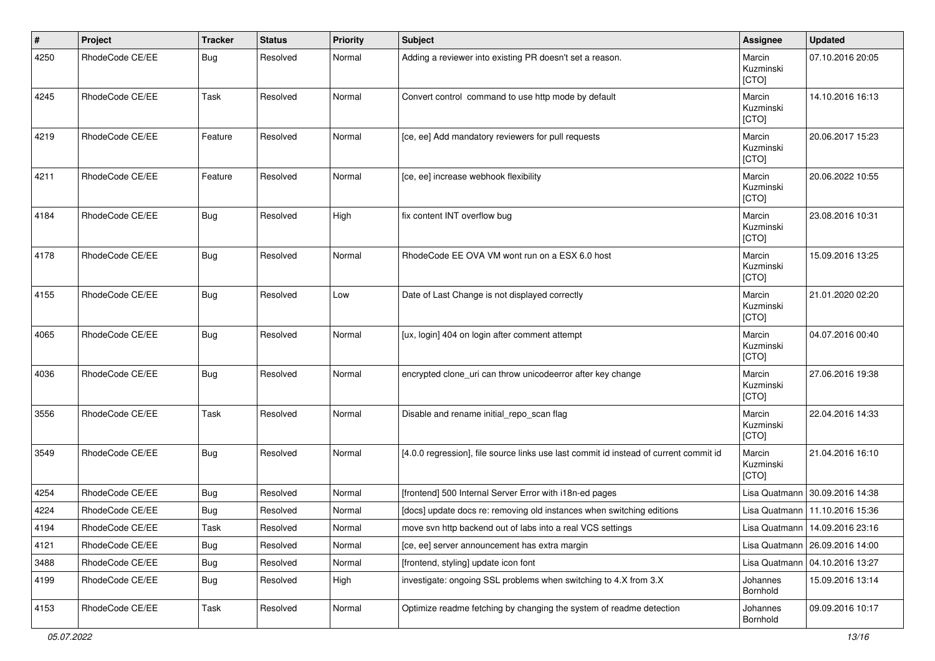| #    | Project         | <b>Tracker</b> | <b>Status</b> | <b>Priority</b> | <b>Subject</b>                                                                        | Assignee                     | <b>Updated</b>                   |
|------|-----------------|----------------|---------------|-----------------|---------------------------------------------------------------------------------------|------------------------------|----------------------------------|
| 4250 | RhodeCode CE/EE | Bug            | Resolved      | Normal          | Adding a reviewer into existing PR doesn't set a reason.                              | Marcin<br>Kuzminski<br>[CTO] | 07.10.2016 20:05                 |
| 4245 | RhodeCode CE/EE | Task           | Resolved      | Normal          | Convert control command to use http mode by default                                   | Marcin<br>Kuzminski<br>[CTO] | 14.10.2016 16:13                 |
| 4219 | RhodeCode CE/EE | Feature        | Resolved      | Normal          | [ce, ee] Add mandatory reviewers for pull requests                                    | Marcin<br>Kuzminski<br>[CTO] | 20.06.2017 15:23                 |
| 4211 | RhodeCode CE/EE | Feature        | Resolved      | Normal          | [ce, ee] increase webhook flexibility                                                 | Marcin<br>Kuzminski<br>[CTO] | 20.06.2022 10:55                 |
| 4184 | RhodeCode CE/EE | Bug            | Resolved      | High            | fix content INT overflow bug                                                          | Marcin<br>Kuzminski<br>[CTO] | 23.08.2016 10:31                 |
| 4178 | RhodeCode CE/EE | Bug            | Resolved      | Normal          | RhodeCode EE OVA VM wont run on a ESX 6.0 host                                        | Marcin<br>Kuzminski<br>[CTO] | 15.09.2016 13:25                 |
| 4155 | RhodeCode CE/EE | Bug            | Resolved      | Low             | Date of Last Change is not displayed correctly                                        | Marcin<br>Kuzminski<br>[CTO] | 21.01.2020 02:20                 |
| 4065 | RhodeCode CE/EE | Bug            | Resolved      | Normal          | [ux, login] 404 on login after comment attempt                                        | Marcin<br>Kuzminski<br>[CTO] | 04.07.2016 00:40                 |
| 4036 | RhodeCode CE/EE | Bug            | Resolved      | Normal          | encrypted clone_uri can throw unicodeerror after key change                           | Marcin<br>Kuzminski<br>[CTO] | 27.06.2016 19:38                 |
| 3556 | RhodeCode CE/EE | Task           | Resolved      | Normal          | Disable and rename initial_repo_scan flag                                             | Marcin<br>Kuzminski<br>[CTO] | 22.04.2016 14:33                 |
| 3549 | RhodeCode CE/EE | Bug            | Resolved      | Normal          | [4.0.0 regression], file source links use last commit id instead of current commit id | Marcin<br>Kuzminski<br>[CTO] | 21.04.2016 16:10                 |
| 4254 | RhodeCode CE/EE | Bug            | Resolved      | Normal          | [frontend] 500 Internal Server Error with i18n-ed pages                               |                              | Lisa Quatmann 30.09.2016 14:38   |
| 4224 | RhodeCode CE/EE | Bug            | Resolved      | Normal          | [docs] update docs re: removing old instances when switching editions                 |                              | Lisa Quatmann   11.10.2016 15:36 |
| 4194 | RhodeCode CE/EE | Task           | Resolved      | Normal          | move svn http backend out of labs into a real VCS settings                            |                              | Lisa Quatmann   14.09.2016 23:16 |
| 4121 | RhodeCode CE/EE | Bug            | Resolved      | Normal          | [ce, ee] server announcement has extra margin                                         |                              | Lisa Quatmann   26.09.2016 14:00 |
| 3488 | RhodeCode CE/EE | Bug            | Resolved      | Normal          | [frontend, styling] update icon font                                                  |                              | Lisa Quatmann   04.10.2016 13:27 |
| 4199 | RhodeCode CE/EE | Bug            | Resolved      | High            | investigate: ongoing SSL problems when switching to 4.X from 3.X                      | Johannes<br>Bornhold         | 15.09.2016 13:14                 |
| 4153 | RhodeCode CE/EE | Task           | Resolved      | Normal          | Optimize readme fetching by changing the system of readme detection                   | Johannes<br>Bornhold         | 09.09.2016 10:17                 |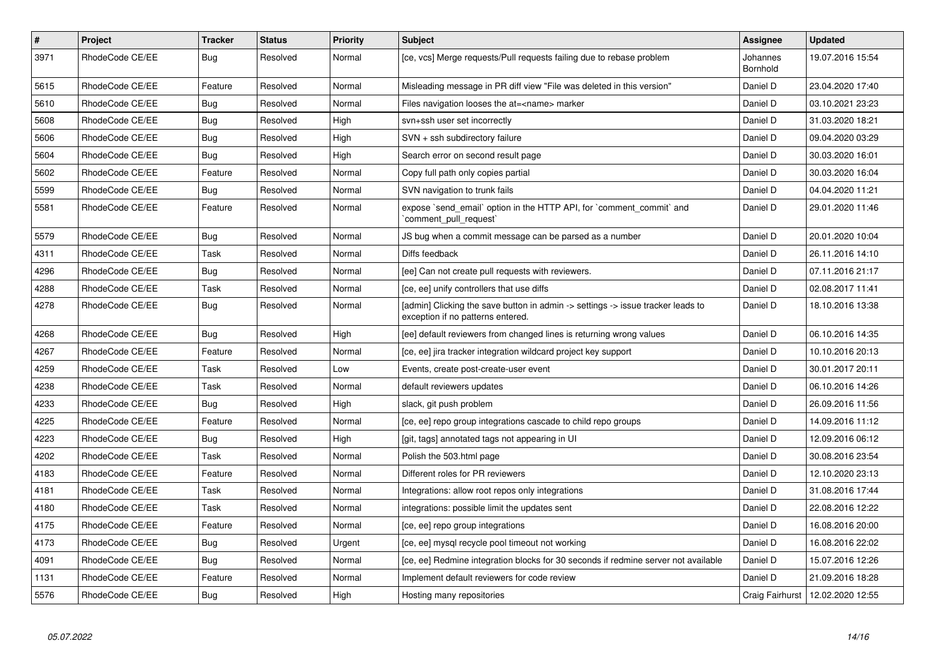| $\sharp$ | <b>Project</b>  | Tracker    | <b>Status</b> | <b>Priority</b> | <b>Subject</b>                                                                                                       | <b>Assignee</b>      | <b>Updated</b>   |
|----------|-----------------|------------|---------------|-----------------|----------------------------------------------------------------------------------------------------------------------|----------------------|------------------|
| 3971     | RhodeCode CE/EE | Bug        | Resolved      | Normal          | [ce, vcs] Merge requests/Pull requests failing due to rebase problem                                                 | Johannes<br>Bornhold | 19.07.2016 15:54 |
| 5615     | RhodeCode CE/EE | Feature    | Resolved      | Normal          | Misleading message in PR diff view "File was deleted in this version"                                                | Daniel D             | 23.04.2020 17:40 |
| 5610     | RhodeCode CE/EE | <b>Bug</b> | Resolved      | Normal          | Files navigation looses the at= <name> marker</name>                                                                 | Daniel D             | 03.10.2021 23:23 |
| 5608     | RhodeCode CE/EE | Bug        | Resolved      | High            | svn+ssh user set incorrectly                                                                                         | Daniel D             | 31.03.2020 18:21 |
| 5606     | RhodeCode CE/EE | <b>Bug</b> | Resolved      | High            | SVN + ssh subdirectory failure                                                                                       | Daniel D             | 09.04.2020 03:29 |
| 5604     | RhodeCode CE/EE | Bug        | Resolved      | High            | Search error on second result page                                                                                   | Daniel D             | 30.03.2020 16:01 |
| 5602     | RhodeCode CE/EE | Feature    | Resolved      | Normal          | Copy full path only copies partial                                                                                   | Daniel D             | 30.03.2020 16:04 |
| 5599     | RhodeCode CE/EE | <b>Bug</b> | Resolved      | Normal          | SVN navigation to trunk fails                                                                                        | Daniel D             | 04.04.2020 11:21 |
| 5581     | RhodeCode CE/EE | Feature    | Resolved      | Normal          | expose `send_email` option in the HTTP API, for `comment_commit` and<br>comment pull request                         | Daniel D             | 29.01.2020 11:46 |
| 5579     | RhodeCode CE/EE | <b>Bug</b> | Resolved      | Normal          | JS bug when a commit message can be parsed as a number                                                               | Daniel D             | 20.01.2020 10:04 |
| 4311     | RhodeCode CE/EE | Task       | Resolved      | Normal          | Diffs feedback                                                                                                       | Daniel D             | 26.11.2016 14:10 |
| 4296     | RhodeCode CE/EE | Bug        | Resolved      | Normal          | [ee] Can not create pull requests with reviewers.                                                                    | Daniel D             | 07.11.2016 21:17 |
| 4288     | RhodeCode CE/EE | Task       | Resolved      | Normal          | [ce, ee] unify controllers that use diffs                                                                            | Daniel D             | 02.08.2017 11:41 |
| 4278     | RhodeCode CE/EE | Bug        | Resolved      | Normal          | [admin] Clicking the save button in admin -> settings -> issue tracker leads to<br>exception if no patterns entered. | Daniel D             | 18.10.2016 13:38 |
| 4268     | RhodeCode CE/EE | Bug        | Resolved      | High            | [ee] default reviewers from changed lines is returning wrong values                                                  | Daniel D             | 06.10.2016 14:35 |
| 4267     | RhodeCode CE/EE | Feature    | Resolved      | Normal          | [ce, ee] jira tracker integration wildcard project key support                                                       | Daniel D             | 10.10.2016 20:13 |
| 4259     | RhodeCode CE/EE | Task       | Resolved      | Low             | Events, create post-create-user event                                                                                | Daniel D             | 30.01.2017 20:11 |
| 4238     | RhodeCode CE/EE | Task       | Resolved      | Normal          | default reviewers updates                                                                                            | Daniel D             | 06.10.2016 14:26 |
| 4233     | RhodeCode CE/EE | Bug        | Resolved      | High            | slack, git push problem                                                                                              | Daniel D             | 26.09.2016 11:56 |
| 4225     | RhodeCode CE/EE | Feature    | Resolved      | Normal          | [ce, ee] repo group integrations cascade to child repo groups                                                        | Daniel D             | 14.09.2016 11:12 |
| 4223     | RhodeCode CE/EE | Bug        | Resolved      | High            | [git, tags] annotated tags not appearing in UI                                                                       | Daniel D             | 12.09.2016 06:12 |
| 4202     | RhodeCode CE/EE | Task       | Resolved      | Normal          | Polish the 503.html page                                                                                             | Daniel D             | 30.08.2016 23:54 |
| 4183     | RhodeCode CE/EE | Feature    | Resolved      | Normal          | Different roles for PR reviewers                                                                                     | Daniel D             | 12.10.2020 23:13 |
| 4181     | RhodeCode CE/EE | Task       | Resolved      | Normal          | Integrations: allow root repos only integrations                                                                     | Daniel D             | 31.08.2016 17:44 |
| 4180     | RhodeCode CE/EE | Task       | Resolved      | Normal          | integrations: possible limit the updates sent                                                                        | Daniel D             | 22.08.2016 12:22 |
| 4175     | RhodeCode CE/EE | Feature    | Resolved      | Normal          | [ce, ee] repo group integrations                                                                                     | Daniel D             | 16.08.2016 20:00 |
| 4173     | RhodeCode CE/EE | <b>Bug</b> | Resolved      | Urgent          | [ce, ee] mysql recycle pool timeout not working                                                                      | Daniel D             | 16.08.2016 22:02 |
| 4091     | RhodeCode CE/EE | <b>Bug</b> | Resolved      | Normal          | [ce, ee] Redmine integration blocks for 30 seconds if redmine server not available                                   | Daniel D             | 15.07.2016 12:26 |
| 1131     | RhodeCode CE/EE | Feature    | Resolved      | Normal          | Implement default reviewers for code review                                                                          | Daniel D             | 21.09.2016 18:28 |
| 5576     | RhodeCode CE/EE | <b>Bug</b> | Resolved      | High            | Hosting many repositories                                                                                            | Craig Fairhurst      | 12.02.2020 12:55 |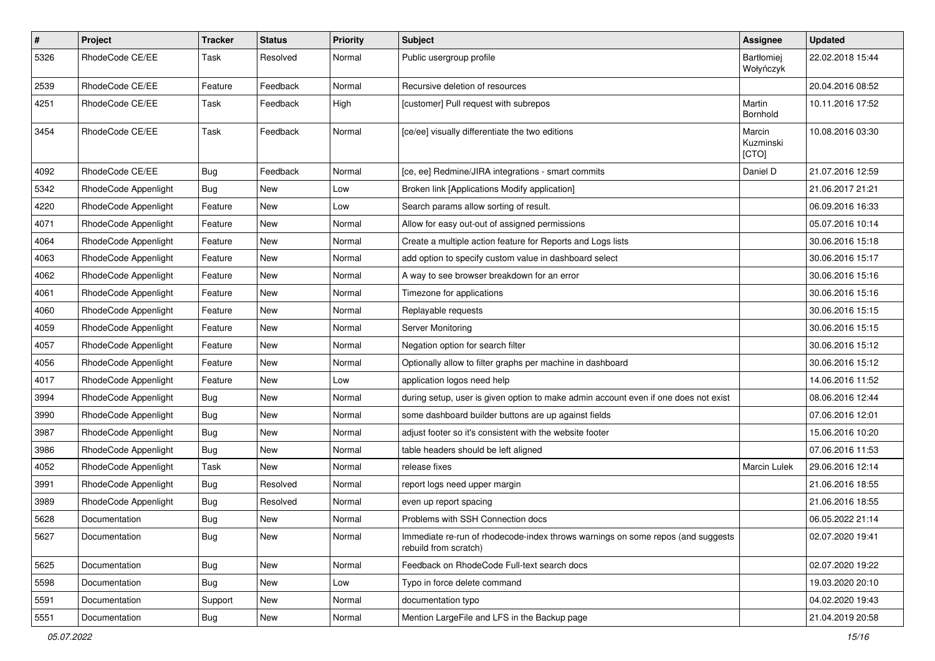| $\#$ | Project              | <b>Tracker</b> | <b>Status</b> | <b>Priority</b> | <b>Subject</b>                                                                                           | Assignee                     | <b>Updated</b>   |
|------|----------------------|----------------|---------------|-----------------|----------------------------------------------------------------------------------------------------------|------------------------------|------------------|
| 5326 | RhodeCode CE/EE      | Task           | Resolved      | Normal          | Public usergroup profile                                                                                 | Bartłomiej<br>Wołyńczyk      | 22.02.2018 15:44 |
| 2539 | RhodeCode CE/EE      | Feature        | Feedback      | Normal          | Recursive deletion of resources                                                                          |                              | 20.04.2016 08:52 |
| 4251 | RhodeCode CE/EE      | Task           | Feedback      | High            | [customer] Pull request with subrepos                                                                    | Martin<br>Bornhold           | 10.11.2016 17:52 |
| 3454 | RhodeCode CE/EE      | Task           | Feedback      | Normal          | [ce/ee] visually differentiate the two editions                                                          | Marcin<br>Kuzminski<br>[CTO] | 10.08.2016 03:30 |
| 4092 | RhodeCode CE/EE      | Bug            | Feedback      | Normal          | [ce, ee] Redmine/JIRA integrations - smart commits                                                       | Daniel D                     | 21.07.2016 12:59 |
| 5342 | RhodeCode Appenlight | <b>Bug</b>     | New           | Low             | Broken link [Applications Modify application]                                                            |                              | 21.06.2017 21:21 |
| 4220 | RhodeCode Appenlight | Feature        | New           | Low             | Search params allow sorting of result.                                                                   |                              | 06.09.2016 16:33 |
| 4071 | RhodeCode Appenlight | Feature        | New           | Normal          | Allow for easy out-out of assigned permissions                                                           |                              | 05.07.2016 10:14 |
| 4064 | RhodeCode Appenlight | Feature        | New           | Normal          | Create a multiple action feature for Reports and Logs lists                                              |                              | 30.06.2016 15:18 |
| 4063 | RhodeCode Appenlight | Feature        | New           | Normal          | add option to specify custom value in dashboard select                                                   |                              | 30.06.2016 15:17 |
| 4062 | RhodeCode Appenlight | Feature        | New           | Normal          | A way to see browser breakdown for an error                                                              |                              | 30.06.2016 15:16 |
| 4061 | RhodeCode Appenlight | Feature        | New           | Normal          | Timezone for applications                                                                                |                              | 30.06.2016 15:16 |
| 4060 | RhodeCode Appenlight | Feature        | New           | Normal          | Replayable requests                                                                                      |                              | 30.06.2016 15:15 |
| 4059 | RhodeCode Appenlight | Feature        | New           | Normal          | Server Monitoring                                                                                        |                              | 30.06.2016 15:15 |
| 4057 | RhodeCode Appenlight | Feature        | New           | Normal          | Negation option for search filter                                                                        |                              | 30.06.2016 15:12 |
| 4056 | RhodeCode Appenlight | Feature        | New           | Normal          | Optionally allow to filter graphs per machine in dashboard                                               |                              | 30.06.2016 15:12 |
| 4017 | RhodeCode Appenlight | Feature        | New           | Low             | application logos need help                                                                              |                              | 14.06.2016 11:52 |
| 3994 | RhodeCode Appenlight | <b>Bug</b>     | New           | Normal          | during setup, user is given option to make admin account even if one does not exist                      |                              | 08.06.2016 12:44 |
| 3990 | RhodeCode Appenlight | Bug            | New           | Normal          | some dashboard builder buttons are up against fields                                                     |                              | 07.06.2016 12:01 |
| 3987 | RhodeCode Appenlight | <b>Bug</b>     | New           | Normal          | adjust footer so it's consistent with the website footer                                                 |                              | 15.06.2016 10:20 |
| 3986 | RhodeCode Appenlight | <b>Bug</b>     | New           | Normal          | table headers should be left aligned                                                                     |                              | 07.06.2016 11:53 |
| 4052 | RhodeCode Appenlight | Task           | New           | Normal          | release fixes                                                                                            | <b>Marcin Lulek</b>          | 29.06.2016 12:14 |
| 3991 | RhodeCode Appenlight | <b>Bug</b>     | Resolved      | Normal          | report logs need upper margin                                                                            |                              | 21.06.2016 18:55 |
| 3989 | RhodeCode Appenlight | <b>Bug</b>     | Resolved      | Normal          | even up report spacing                                                                                   |                              | 21.06.2016 18:55 |
| 5628 | Documentation        | <b>Bug</b>     | New           | Normal          | Problems with SSH Connection docs                                                                        |                              | 06.05.2022 21:14 |
| 5627 | Documentation        | <b>Bug</b>     | New           | Normal          | Immediate re-run of rhodecode-index throws warnings on some repos (and suggests<br>rebuild from scratch) |                              | 02.07.2020 19:41 |
| 5625 | Documentation        | Bug            | New           | Normal          | Feedback on RhodeCode Full-text search docs                                                              |                              | 02.07.2020 19:22 |
| 5598 | Documentation        | Bug            | New           | Low             | Typo in force delete command                                                                             |                              | 19.03.2020 20:10 |
| 5591 | Documentation        | Support        | New           | Normal          | documentation typo                                                                                       |                              | 04.02.2020 19:43 |
| 5551 | Documentation        | Bug            | New           | Normal          | Mention LargeFile and LFS in the Backup page                                                             |                              | 21.04.2019 20:58 |